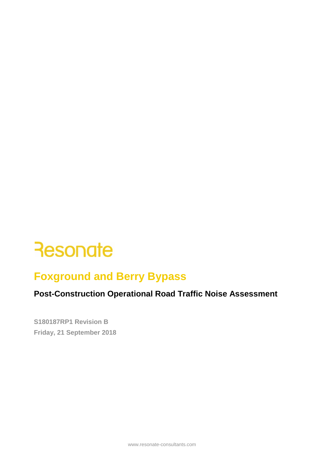# **Foxground and Berry Bypass**

# **Post-Construction Operational Road Traffic Noise Assessment**

 **S180187RP1 Revision B Friday, 21 September 2018**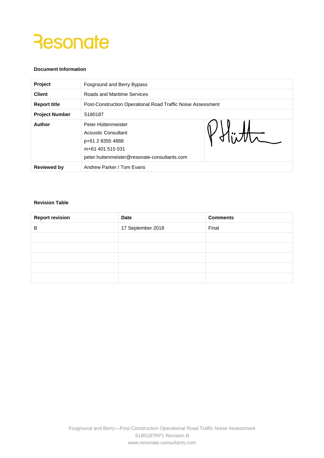#### **Document Information**

| Project               | Foxground and Berry Bypass                                                                                                         |              |  |  |  |  |
|-----------------------|------------------------------------------------------------------------------------------------------------------------------------|--------------|--|--|--|--|
| <b>Client</b>         | Roads and Maritime Services                                                                                                        |              |  |  |  |  |
| <b>Report title</b>   | Post-Construction Operational Road Traffic Noise Assessment                                                                        |              |  |  |  |  |
| <b>Project Number</b> | S180187                                                                                                                            |              |  |  |  |  |
| Author                | Peter Hüttenmeister<br>Acoustic Consultant<br>p+61 2 8355 4888<br>m+61 401 515 031<br>peter.huttenmeister@resonate-consultants.com | $N\setminus$ |  |  |  |  |
| <b>Reviewed by</b>    | Andrew Parker / Tom Evans                                                                                                          |              |  |  |  |  |

#### **Revision Table**

| <b>Report revision</b> | Date              | <b>Comments</b> |  |  |  |
|------------------------|-------------------|-----------------|--|--|--|
| B                      | 17 September 2018 | Final           |  |  |  |
|                        |                   |                 |  |  |  |
|                        |                   |                 |  |  |  |
|                        |                   |                 |  |  |  |
|                        |                   |                 |  |  |  |
|                        |                   |                 |  |  |  |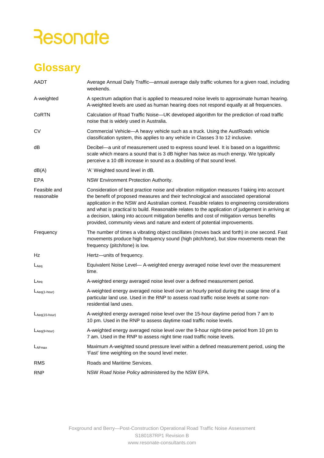# **Glossary**

| AADT                       | Average Annual Daily Traffic—annual average daily traffic volumes for a given road, including<br>weekends.                                                                                                                                                                                                                                                                                                                                                                                                                                                            |
|----------------------------|-----------------------------------------------------------------------------------------------------------------------------------------------------------------------------------------------------------------------------------------------------------------------------------------------------------------------------------------------------------------------------------------------------------------------------------------------------------------------------------------------------------------------------------------------------------------------|
| A-weighted                 | A spectrum adaption that is applied to measured noise levels to approximate human hearing.<br>A-weighted levels are used as human hearing does not respond equally at all frequencies.                                                                                                                                                                                                                                                                                                                                                                                |
| CoRTN                      | Calculation of Road Traffic Noise-UK developed algorithm for the prediction of road traffic<br>noise that is widely used in Australia.                                                                                                                                                                                                                                                                                                                                                                                                                                |
| CV                         | Commercial Vehicle-A heavy vehicle such as a truck. Using the AustRoads vehicle<br>classification system, this applies to any vehicle in Classes 3 to 12 inclusive.                                                                                                                                                                                                                                                                                                                                                                                                   |
| dB                         | Decibel—a unit of measurement used to express sound level. It is based on a logarithmic<br>scale which means a sound that is 3 dB higher has twice as much energy. We typically<br>perceive a 10 dB increase in sound as a doubling of that sound level.                                                                                                                                                                                                                                                                                                              |
| dB(A)                      | 'A' Weighted sound level in dB.                                                                                                                                                                                                                                                                                                                                                                                                                                                                                                                                       |
| <b>EPA</b>                 | NSW Environment Protection Authority.                                                                                                                                                                                                                                                                                                                                                                                                                                                                                                                                 |
| Feasible and<br>reasonable | Consideration of best practice noise and vibration mitigation measures f taking into account<br>the benefit of proposed measures and their technological and associated operational<br>application in the NSW and Australian context. Feasible relates to engineering considerations<br>and what is practical to build. Reasonable relates to the application of judgement in arriving at<br>a decision, taking into account mitigation benefits and cost of mitigation versus benefits<br>provided, community views and nature and extent of potential improvements. |
| Frequency                  | The number of times a vibrating object oscillates (moves back and forth) in one second. Fast<br>movements produce high frequency sound (high pitch/tone), but slow movements mean the<br>frequency (pitch/tone) is low.                                                                                                                                                                                                                                                                                                                                               |
| Hz                         | Hertz-units of frequency.                                                                                                                                                                                                                                                                                                                                                                                                                                                                                                                                             |
| $L_{Aeq}$                  | Equivalent Noise Level— A-weighted energy averaged noise level over the measurement<br>time.                                                                                                                                                                                                                                                                                                                                                                                                                                                                          |
| LAeg                       | A-weighted energy averaged noise level over a defined measurement period.                                                                                                                                                                                                                                                                                                                                                                                                                                                                                             |
| $L$ Aeq(1-hour)            | A-weighted energy averaged noise level over an hourly period during the usage time of a<br>particular land use. Used in the RNP to assess road traffic noise levels at some non-<br>residential land uses.                                                                                                                                                                                                                                                                                                                                                            |
| LAeq(15-hour)              | A-weighted energy averaged noise level over the 15-hour daytime period from 7 am to<br>10 pm. Used in the RNP to assess daytime road traffic noise levels.                                                                                                                                                                                                                                                                                                                                                                                                            |
| LAeq(9-hour)               | A-weighted energy averaged noise level over the 9-hour night-time period from 10 pm to<br>7 am. Used in the RNP to assess night time road traffic noise levels.                                                                                                                                                                                                                                                                                                                                                                                                       |
| LAFmax                     | Maximum A-weighted sound pressure level within a defined measurement period, using the<br>'Fast' time weighting on the sound level meter.                                                                                                                                                                                                                                                                                                                                                                                                                             |
| RMS                        | Roads and Maritime Services.                                                                                                                                                                                                                                                                                                                                                                                                                                                                                                                                          |
| <b>RNP</b>                 | NSW Road Noise Policy administered by the NSW EPA.                                                                                                                                                                                                                                                                                                                                                                                                                                                                                                                    |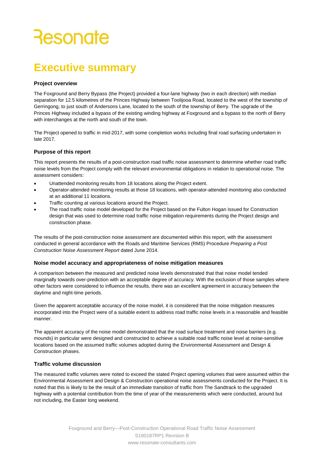# **Executive summary**

#### **Project overview**

The Foxground and Berry Bypass (the Project) provided a four-lane highway (two in each direction) with median separation for 12.5 kilometres of the Princes Highway between Toolijooa Road, located to the west of the township of Gerringong, to just south of Andersons Lane, located to the south of the township of Berry. The upgrade of the Princes Highway included a bypass of the existing winding highway at Foxground and a bypass to the north of Berry with interchanges at the north and south of the town.

The Project opened to traffic in mid-2017, with some completion works including final road surfacing undertaken in late 2017.

#### **Purpose of this report**

 noise levels from the Project comply with the relevant environmental obligations in relation to operational noise. The This report presents the results of a post-construction road traffic noise assessment to determine whether road traffic assessment considers:

- Unattended monitoring results from 18 locations along the Project extent.
- • Operator-attended monitoring results at those 18 locations, with operator-attended monitoring also conducted at an additional 11 locations.
- Traffic counting at various locations around the Project.
- The road traffic noise model developed for the Project based on the Fulton Hogan Issued for Construction design that was used to determine road traffic noise mitigation requirements during the Project design and construction phase.

The results of the post-construction noise assessment are documented within this report, with the assessment conducted in general accordance with the Roads and Maritime Services (RMS) Procedure *Preparing a Post Construction Noise Assessment Report* dated June 2014.

#### **Noise model accuracy and appropriateness of noise mitigation measures**

A comparison between the measured and predicted noise levels demonstrated that that noise model tended marginally towards over-prediction with an acceptable degree of accuracy. With the exclusion of those samples where other factors were considered to influence the results, there was an excellent agreement in accuracy between the daytime and night-time periods.

Given the apparent acceptable accuracy of the noise model, it is considered that the noise mitigation measures incorporated into the Project were of a suitable extent to address road traffic noise levels in a reasonable and feasible manner.

 The apparent accuracy of the noise model demonstrated that the road surface treatment and noise barriers (e.g. mounds) in particular were designed and constructed to achieve a suitable road traffic noise level at noise-sensitive locations based on the assumed traffic volumes adopted during the Environmental Assessment and Design & Construction phases.

#### **Traffic volume discussion**

 highway with a potential contribution from the time of year of the measurements which were conducted, around but The measured traffic volumes were noted to exceed the stated Project opening volumes that were assumed within the Environmental Assessment and Design & Construction operational noise assessments conducted for the Project. It is noted that this is likely to be the result of an immediate transition of traffic from The Sandtrack to the upgraded not including, the Easter long weekend.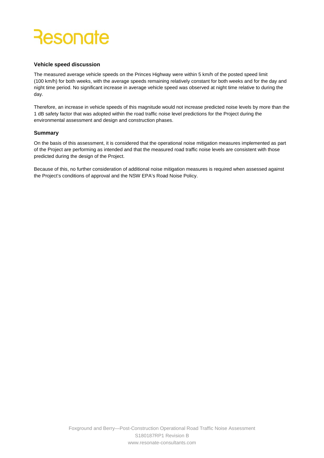#### **Vehicle speed discussion**

The measured average vehicle speeds on the Princes Highway were within 5 km/h of the posted speed limit (100 km/h) for both weeks, with the average speeds remaining relatively constant for both weeks and for the day and night time period. No significant increase in average vehicle speed was observed at night time relative to during the day.

Therefore, an increase in vehicle speeds of this magnitude would not increase predicted noise levels by more than the 1 dB safety factor that was adopted within the road traffic noise level predictions for the Project during the environmental assessment and design and construction phases.

#### **Summary**

 On the basis of this assessment, it is considered that the operational noise mitigation measures implemented as part of the Project are performing as intended and that the measured road traffic noise levels are consistent with those predicted during the design of the Project.

 Because of this, no further consideration of additional noise mitigation measures is required when assessed against the Project's conditions of approval and the NSW EPA's Road Noise Policy.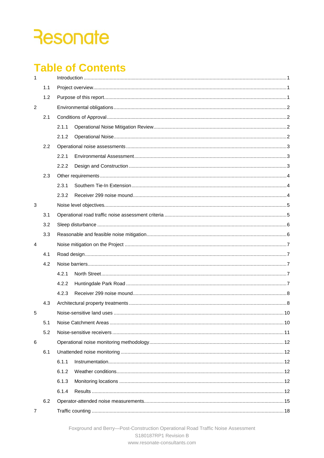# **Table of Contents**

| $\mathbf{1}$   |     |       |  |
|----------------|-----|-------|--|
|                | 1.1 |       |  |
|                | 1.2 |       |  |
| $\overline{2}$ |     |       |  |
|                | 2.1 |       |  |
|                |     | 2.1.1 |  |
|                |     | 2.1.2 |  |
|                | 2.2 |       |  |
|                |     | 2.2.1 |  |
|                |     | 2.2.2 |  |
|                | 2.3 |       |  |
|                |     | 2.3.1 |  |
|                |     | 2.3.2 |  |
| 3              |     |       |  |
|                | 3.1 |       |  |
|                | 3.2 |       |  |
|                | 3.3 |       |  |
| $\overline{4}$ |     |       |  |
|                | 4.1 |       |  |
|                | 4.2 |       |  |
|                |     | 4.2.1 |  |
|                |     | 4.2.2 |  |
|                |     | 4.2.3 |  |
|                | 4.3 |       |  |
| 5              |     |       |  |
|                | 5.1 |       |  |
|                | 5.2 |       |  |
| 6              |     |       |  |
|                | 6.1 |       |  |
|                |     | 6.1.1 |  |
|                |     | 6.1.2 |  |
|                |     | 6.1.3 |  |
|                |     | 6.1.4 |  |
|                | 6.2 |       |  |
| 7              |     |       |  |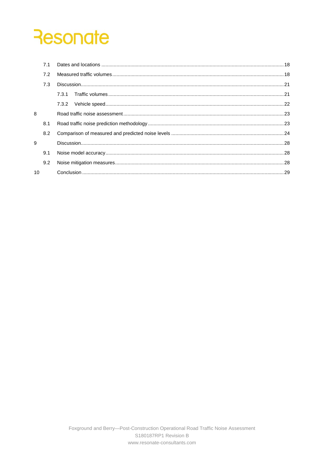|    | 7.1 |  |
|----|-----|--|
|    | 7.2 |  |
|    | 7.3 |  |
|    |     |  |
|    |     |  |
| 8  |     |  |
|    | 8.1 |  |
|    | 8.2 |  |
| 9  |     |  |
|    | 9.1 |  |
|    | 9.2 |  |
| 10 |     |  |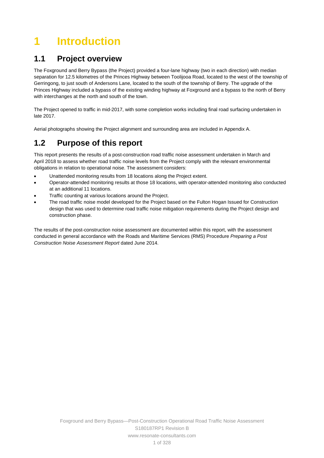# <span id="page-7-0"></span>**1 Introduction**

## **1.1 Project overview**

The Foxground and Berry Bypass (the Project) provided a four-lane highway (two in each direction) with median separation for 12.5 kilometres of the Princes Highway between Toolijooa Road, located to the west of the township of Gerringong, to just south of Andersons Lane, located to the south of the township of Berry. The upgrade of the Princes Highway included a bypass of the existing winding highway at Foxground and a bypass to the north of Berry with interchanges at the north and south of the town.

The Project opened to traffic in mid-2017, with some completion works including final road surfacing undertaken in late 2017.

Aerial photographs showing the Project alignment and surrounding area are included in Appendix A.

## **1.2 Purpose of this report**

This report presents the results of a post-construction road traffic noise assessment undertaken in March and April 2018 to assess whether road traffic noise levels from the Project comply with the relevant environmental obligations in relation to operational noise. The assessment considers:

- Unattended monitoring results from 18 locations along the Project extent.
- • Operator-attended monitoring results at those 18 locations, with operator-attended monitoring also conducted at an additional 11 locations.
- Traffic counting at various locations around the Project.
- The road traffic noise model developed for the Project based on the Fulton Hogan Issued for Construction design that was used to determine road traffic noise mitigation requirements during the Project design and construction phase.

 conducted in general accordance with the Roads and Maritime Services (RMS) Procedure *Preparing a Post*  The results of the post-construction noise assessment are documented within this report, with the assessment *Construction Noise Assessment Report* dated June 2014.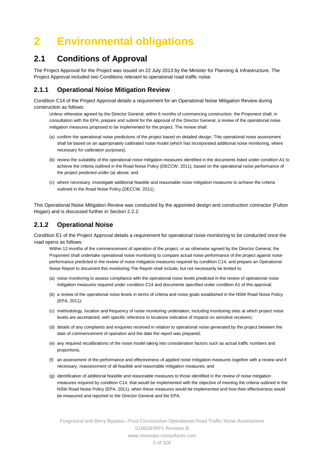# <span id="page-8-0"></span>**2 Environmental obligations**

### **2.1 Conditions of Approval**

The Project Approval for the Project was issued on 22 July 2013 by the Minister for Planning & Infrastructure. The Project Approval included two Conditions relevant to operational road traffic noise.

#### **2.1.1 Operational Noise Mitigation Review**

Condition C14 of the Project Approval details a requirement for an Operational Noise Mitigation Review during construction as follows:

 mitigation measures proposed to be implemented for the project. The review shall: Unless otherwise agreed by the Director General, within 6 months of commencing construction, the Proponent shall, in consultation with the EPA, prepare and submit for the approval of the Director General, a review of the operational noise

- (a) confirm the operational noise predictions of the project based on detailed design. This operational noise assessment shall be based on an appropriately calibrated noise model (which has incorporated additional noise monitoring, where necessary for calibration purposes);
- (b) review the suitability of the operational noise mitigation measures identified in the documents listed under condition A1 to achieve the criteria outlined in the Road Noise Policy (DECCW, 2011), based on the operational noise performance of the project predicted under (a) above; and
- (c) where necessary, investigate additional feasible and reasonable noise mitigation measures to achieve the criteria outlined in the Road Noise Policy (DECCW, 2011).

This Operational Noise Mitigation Review was conducted by the appointed design and construction contractor (Fulton Hogan) and is discussed further in Section [2.2.2.](#page-9-0)

#### **2.1.2 Operational Noise**

Condition E1 of the Project Approval details a requirement for operational noise monitoring to be conducted once the road opens as follows:

 Within 12 months of the commencement of operation of the project, or as otherwise agreed by the Director General, the Noise Report to document this monitoring The Report shall include, but not necessarily be limited to: Proponent shall undertake operational noise monitoring to compare actual noise performance of the project against noise performance predicted in the review of noise mitigation measures required by condition C14, and prepare an Operational

- (a) noise monitoring to assess compliance with the operational noise levels predicted in the review of operational noise mitigation measures required under condition C14 and documents specified under condition A1 of this approval;
- (b) a review of the operational noise levels in terms of criteria and noise goals established in the NSW Road Noise Policy (EPA, 2011);
- (c) methodology, location and frequency of noise monitoring undertaken, including monitoring sites at which project noise levels are ascertained, with specific reference to locations indicative of impacts on sensitive receivers;
- (d) details of any complaints and enquiries received in relation to operational noise generated by the project between the date of commencement of operation and the date the report was prepared;
- (e) any required recalibrations of the noise model taking into consideration factors such as actual traffic numbers and proportions;
- (f) an assessment of the performance and effectiveness of applied noise mitigation measures together with a review and if necessary, reassessment of all feasible and reasonable mitigation measures; and
- (g) identification of additional feasible and reasonable measures to those identified in the review of noise mitigation measures required by condition C14, that would be implemented with the objective of meeting the criteria outlined in the NSW Road Noise Policy (EPA, 2011), when these measures would be implemented and how their effectiveness would be measured and reported to the Director General and the EPA.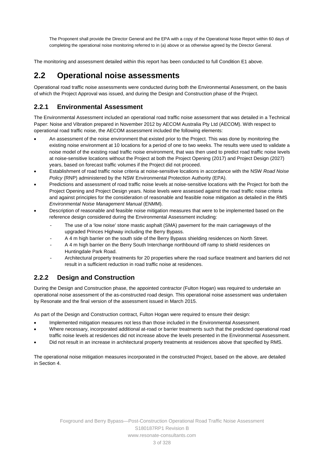The Proponent shall provide the Director General and the EPA with a copy of the Operational Noise Report within 60 days of completing the operational noise monitoring referred to in (a) above or as otherwise agreed by the Director General.

The monitoring and assessment detailed within this report has been conducted to full Condition E1 above.

## **2.2 Operational noise assessments**

Operational road traffic noise assessments were conducted during both the Environmental Assessment, on the basis of which the Project Approval was issued, and during the Design and Construction phase of the Project.

#### **2.2.1 Environmental Assessment**

The Environmental Assessment included an operational road traffic noise assessment that was detailed in a Technical Paper: Noise and Vibration prepared in November 2012 by AECOM Australia Pty Ltd (AECOM). With respect to operational road traffic noise, the AECOM assessment included the following elements:

- An assessment of the noise environment that existed prior to the Project. This was done by monitoring the existing noise environment at 10 locations for a period of one to two weeks. The results were used to validate a noise model of the existing road traffic noise environment, that was then used to predict road traffic noise levels at noise-sensitive locations without the Project at both the Project Opening (2017) and Project Design (2027) years, based on forecast traffic volumes if the Project did not proceed.
- Establishment of road traffic noise criteria at noise-sensitive locations in accordance with the NSW *Road Noise Policy* (RNP) administered by the NSW Environmental Protection Authority (EPA).
- *Environmental Noise Management Manual* (ENMM). Predictions and assessment of road traffic noise levels at noise-sensitive locations with the Project for both the Project Opening and Project Design years. Noise levels were assessed against the road traffic noise criteria and against principles for the consideration of reasonable and feasible noise mitigation as detailed in the RMS
- Description of reasonable and feasible noise mitigation measures that were to be implemented based on the reference design considered during the Environmental Assessment including:
	- The use of a 'low noise' stone mastic asphalt (SMA) pavement for the main carriageways of the upgraded Princes Highway including the Berry Bypass.
	- A 4 m high barrier on the south side of the Berry Bypass shielding residences on North Street.
	- A 4 m high barrier on the Berry South Interchange northbound off ramp to shield residences on Huntingdale Park Road.
	- Architectural property treatments for 20 properties where the road surface treatment and barriers did not result in a sufficient reduction in road traffic noise at residences.

#### <span id="page-9-0"></span>**2.2.2 Design and Construction**

During the Design and Construction phase, the appointed contractor (Fulton Hogan) was required to undertake an operational noise assessment of the as-constructed road design. This operational noise assessment was undertaken by Resonate and the final version of the assessment issued in March 2015.

As part of the Design and Construction contract, Fulton Hogan were required to ensure their design:

- Implemented mitigation measures not less than those included in the Environmental Assessment.
- Where necessary, incorporated additional at-road or barrier treatments such that the predicted operational road traffic noise levels at residences did not increase above the levels presented in the Environmental Assessment.
- Did not result in an increase in architectural property treatments at residences above that specified by RMS.

The operational noise mitigation measures incorporated in the constructed Project, based on the above, are detailed in Section [4.](#page-13-0)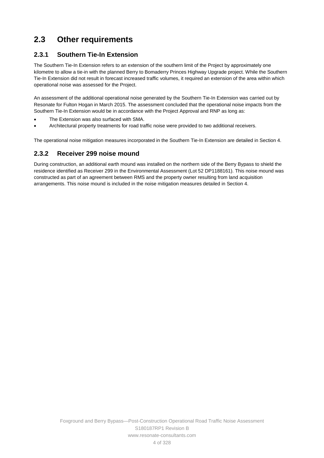# **2.3 Other requirements**

### **2.3.1 Southern Tie-In Extension**

The Southern Tie-In Extension refers to an extension of the southern limit of the Project by approximately one kilometre to allow a tie-in with the planned Berry to Bomaderry Princes Highway Upgrade project. While the Southern Tie-In Extension did not result in forecast increased traffic volumes, it required an extension of the area within which operational noise was assessed for the Project.

An assessment of the additional operational noise generated by the Southern Tie-In Extension was carried out by Resonate for Fulton Hogan in March 2015. The assessment concluded that the operational noise impacts from the Southern Tie-In Extension would be in accordance with the Project Approval and RNP as long as:

- The Extension was also surfaced with SMA.
- Architectural property treatments for road traffic noise were provided to two additional receivers.

The operational noise mitigation measures incorporated in the Southern Tie-In Extension are detailed in Sectio[n 4.](#page-13-0)

#### **2.3.2 Receiver 299 noise mound**

 constructed as part of an agreement between RMS and the property owner resulting from land acquisition During construction, an additional earth mound was installed on the northern side of the Berry Bypass to shield the residence identified as Receiver 299 in the Environmental Assessment (Lot 52 DP1188161). This noise mound was arrangements. This noise mound is included in the noise mitigation measures detailed in Section [4.](#page-13-0)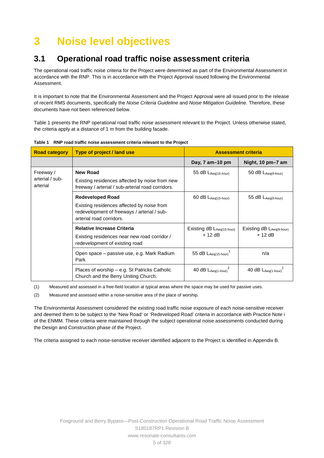# **3 Noise level objectives**

## **3.1 Operational road traffic noise assessment criteria**

The operational road traffic noise criteria for the Project were determined as part of the Environmental Assessment in accordance with the RNP. This is in accordance with the Project Approval issued following the Environmental Assessment.

It is important to note that the Environmental Assessment and the Project Approval were all issued prior to the release of recent RMS documents, specifically the *Noise Criteria Guideline* and *Noise Mitigation Guideline*. Therefore, these documents have not been referenced below.

[Table 1](#page-11-0) presents the RNP operational road traffic noise assessment relevant to the Project. Unless otherwise stated, the criteria apply at a distance of 1 m from the building facade.

| <b>Road category</b>                     | Type of project / land use                                                                                                                       | <b>Assessment criteria</b>            |                                      |  |  |  |
|------------------------------------------|--------------------------------------------------------------------------------------------------------------------------------------------------|---------------------------------------|--------------------------------------|--|--|--|
|                                          |                                                                                                                                                  | Day, 7 am-10 pm                       | Night, 10 pm-7 am                    |  |  |  |
| Freeway /<br>arterial / sub-<br>arterial | <b>New Road</b><br>Existing residences affected by noise from new<br>freeway / arterial / sub-arterial road corridors.                           | 55 $dB$ $L_{Aeq(15-hour)}$            | 50 dB LAeq(9-hour)                   |  |  |  |
|                                          | <b>Redeveloped Road</b><br>Existing residences affected by noise from<br>redevelopment of freeways / arterial / sub-<br>arterial road corridors. | 60 dB LAeq(15-hour)                   | 55 dB LAeq(9-hour)                   |  |  |  |
|                                          | <b>Relative Increase Criteria</b><br>Existing residences near new road corridor /<br>redevelopment of existing road                              | Existing dB LAeq(15-hour)<br>$+12$ dB | Existing dB LAeq(9-hour)<br>$+12$ dB |  |  |  |
|                                          | Open space – passive use, e.g. Mark Radium<br>Park                                                                                               | 55 dB LAeq(15-hour)                   | n/a                                  |  |  |  |
|                                          | Places of worship – e.g. St Patricks Catholic<br>Church and the Berry Uniting Church.                                                            | 40 dB LAeq(1-hour)                    | 40 dB LAeq(1-hour)                   |  |  |  |

<span id="page-11-0"></span>**Table 1 RNP road traffic noise assessment criteria relevant to the Project** 

(1) Measured and assessed in a free-field location at typical areas where the space may be used for passive uses.

(2) Measured and assessed within a noise-sensitive area of the place of worship.

The Environmental Assessment considered the existing road traffic noise exposure of each noise-sensitive receiver and deemed them to be subject to the 'New Road' or 'Redeveloped Road' criteria in accordance with Practice Note i of the ENMM. These criteria were maintained through the subject operational noise assessments conducted during the Design and Construction phase of the Project.

The criteria assigned to each noise-sensitive receiver identified adjacent to the Project is identified in Appendix B.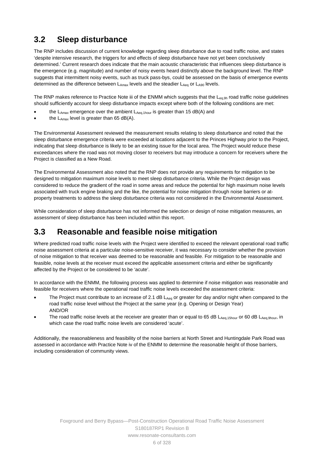# **3.2 Sleep disturbance**

 The RNP includes discussion of current knowledge regarding sleep disturbance due to road traffic noise, and states determined as the difference between  $L_{\text{Amax}}$  levels and the steadier  $L_{\text{Aeq}}$  or  $L_{\text{A90}}$  levels. 'despite intensive research, the triggers for and effects of sleep disturbance have not yet been conclusively determined.' Current research does indicate that the main acoustic characteristic that influences sleep disturbance is the emergence (e.g. magnitude) and number of noisy events heard distinctly above the background level. The RNP suggests that intermittent noisy events, such as truck pass-bys, could be assessed on the basis of emergence events

The RNP makes reference to Practice Note iii of the ENMM which suggests that the L<sub>eq,9h</sub> road traffic noise guidelines should sufficiently account for sleep disturbance impacts except where both of the following conditions are met:

- the  $L_{Amax}$  emergence over the ambient  $L_{Aeq,1 hour}$  is greater than 15 dB(A) and
- the  $L_{Amax}$  level is greater than 65 dB(A).

The Environmental Assessment reviewed the measurement results relating to sleep disturbance and noted that the sleep disturbance emergence criteria were exceeded at locations adjacent to the Princes Highway prior to the Project, indicating that sleep disturbance is likely to be an existing issue for the local area. The Project would reduce these exceedances where the road was not moving closer to receivers but may introduce a concern for receivers where the Project is classified as a New Road.

The Environmental Assessment also noted that the RNP does not provide any requirements for mitigation to be designed to mitigation maximum noise levels to meet sleep disturbance criteria. While the Project design was considered to reduce the gradient of the road in some areas and reduce the potential for high maximum noise levels associated with truck engine braking and the like, the potential for noise mitigation through noise barriers or atproperty treatments to address the sleep disturbance criteria was not considered in the Environmental Assessment.

 assessment of sleep disturbance has been included within this report. While consideration of sleep disturbance has not informed the selection or design of noise mitigation measures, an

## **3.3 Reasonable and feasible noise mitigation**

Where predicted road traffic noise levels with the Project were identified to exceed the relevant operational road traffic noise assessment criteria at a particular noise-sensitive receiver, it was necessary to consider whether the provision of noise mitigation to that receiver was deemed to be reasonable and feasible. For mitigation to be reasonable and feasible, noise levels at the receiver must exceed the applicable assessment criteria and either be significantly affected by the Project or be considered to be 'acute'.

In accordance with the ENMM, the following process was applied to determine if noise mitigation was reasonable and feasible for receivers where the operational road traffic noise levels exceeded the assessment criteria:

- The Project must contribute to an increase of 2.1 dB  $L_{Aeq}$  or greater for day and/or night when compared to the road traffic noise level without the Project at the same year (e.g. Opening or Design Year) AND/OR
- The road traffic noise levels at the receiver are greater than or equal to 65 dB LAeq,15hour or 60 dB LAeq,9hour, in which case the road traffic noise levels are considered 'acute'.

Additionally, the reasonableness and feasibility of the noise barriers at North Street and Huntingdale Park Road was assessed in accordance with Practice Note iv of the ENMM to determine the reasonable height of those barriers, including consideration of community views.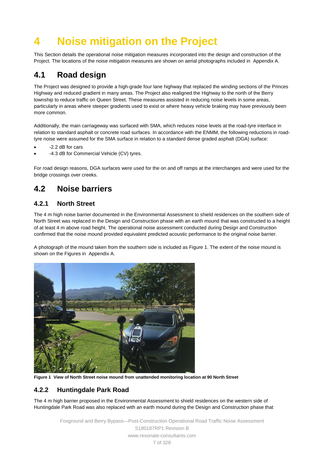# <span id="page-13-0"></span> **4 Noise mitigation on the Project**

This Section details the operational noise mitigation measures incorporated into the design and construction of the Project. The locations of the noise mitigation measures are shown on aerial photographs included in Appendix A.

## **4.1 Road design**

 The Project was designed to provide a high-grade four lane highway that replaced the winding sections of the Princes Highway and reduced gradient in many areas. The Project also realigned the Highway to the north of the Berry township to reduce traffic on Queen Street. These measures assisted in reducing noise levels in some areas, particularly in areas where steeper gradients used to exist or where heavy vehicle braking may have previously been more common.

 relation to standard asphalt or concrete road surfaces. In accordance with the ENMM, the following reductions in road-Additionally, the main carriageway was surfaced with SMA, which reduces noise levels at the road-tyre interface in tyre noise were assumed for the SMA surface in relation to a standard dense graded asphalt (DGA) surface:

- -2.2 dB for cars
- -4.3 dB for Commercial Vehicle (CV) tyres.

For road design reasons, DGA surfaces were used for the on and off ramps at the interchanges and were used for the bridge crossings over creeks.

## **4.2 Noise barriers**

#### **4.2.1 North Street**

The 4 m high noise barrier documented in the Environmental Assessment to shield residences on the southern side of North Street was replaced in the Design and Construction phase with an earth mound that was constructed to a height of at least 4 m above road height. The operational noise assessment conducted during Design and Construction confirmed that the noise mound provided equivalent predicted acoustic performance to the original noise barrier.

A photograph of the mound taken from the southern side is included a[s Figure 1.](#page-13-1) The extent of the noise mound is shown on the Figures in Appendix A.



 **Figure 1 View of North Street noise mound from unattended monitoring location at 90 North Street** 

#### <span id="page-13-1"></span>**4.2.2 Huntingdale Park Road**

The 4 m high barrier proposed in the Environmental Assessment to shield residences on the western side of Huntingdale Park Road was also replaced with an earth mound during the Design and Construction phase that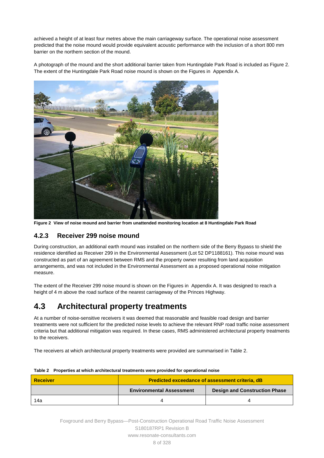achieved a height of at least four metres above the main carriageway surface. The operational noise assessment predicted that the noise mound would provide equivalent acoustic performance with the inclusion of a short 800 mm barrier on the northern section of the mound.

A photograph of the mound and the short additional barrier taken from Huntingdale Park Road is included as [Figure 2.](#page-14-0) The extent of the Huntingdale Park Road noise mound is shown on the Figures in Appendix A.



 **Figure 2 View of noise mound and barrier from unattended monitoring location at 8 Huntingdale Park Road** 

#### <span id="page-14-0"></span>**4.2.3 Receiver 299 noise mound**

 constructed as part of an agreement between RMS and the property owner resulting from land acquisition During construction, an additional earth mound was installed on the northern side of the Berry Bypass to shield the residence identified as Receiver 299 in the Environmental Assessment (Lot 52 DP1188161). This noise mound was arrangements, and was not included in the Environmental Assessment as a proposed operational noise mitigation measure.

The extent of the Receiver 299 noise mound is shown on the Figures in Appendix A. It was designed to reach a height of 4 m above the road surface of the nearest carriageway of the Princes Highway.

### **4.3 Architectural property treatments**

 treatments were not sufficient for the predicted noise levels to achieve the relevant RNP road traffic noise assessment At a number of noise-sensitive receivers it was deemed that reasonable and feasible road design and barrier criteria but that additional mitigation was required. In these cases, RMS administered architectural property treatments to the receivers.

The receivers at which architectural property treatments were provided are summarised i[n Table 2.](#page-14-1)

| <b>Receiver</b> | <b>Predicted exceedance of assessment criteria, dB</b> |                                      |  |  |  |  |  |
|-----------------|--------------------------------------------------------|--------------------------------------|--|--|--|--|--|
|                 | <b>Environmental Assessment</b>                        | <b>Design and Construction Phase</b> |  |  |  |  |  |
| 14a             |                                                        |                                      |  |  |  |  |  |

#### <span id="page-14-1"></span> **Table 2 Properties at which architectural treatments were provided for operational noise**

 8 of 328 Foxground and Berry Bypass—Post-Construction Operational Road Traffic Noise Assessment S180187RP1 Revision B www.resonate-consultants.com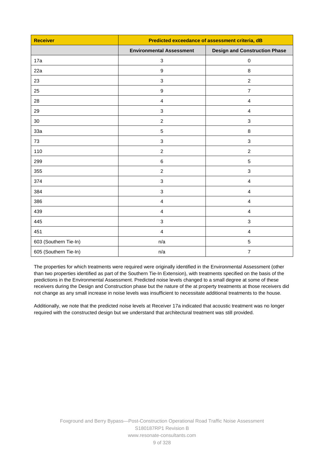| <b>Receiver</b>       | Predicted exceedance of assessment criteria, dB |                                      |  |  |  |
|-----------------------|-------------------------------------------------|--------------------------------------|--|--|--|
|                       | <b>Environmental Assessment</b>                 | <b>Design and Construction Phase</b> |  |  |  |
| 17a                   | $\sqrt{3}$                                      | $\mathbf 0$                          |  |  |  |
| 22a                   | $\boldsymbol{9}$                                | $\, 8$                               |  |  |  |
| 23                    | $\mathfrak{S}$                                  | $\boldsymbol{2}$                     |  |  |  |
| 25                    | $\boldsymbol{9}$                                | $\overline{7}$                       |  |  |  |
| 28                    | $\overline{4}$                                  | $\overline{4}$                       |  |  |  |
| 29                    | $\sqrt{3}$                                      | $\overline{\mathbf{4}}$              |  |  |  |
| 30                    | $\sqrt{2}$                                      | $\ensuremath{\mathsf{3}}$            |  |  |  |
| 33a                   | $\,$ 5 $\,$                                     | $\, 8$                               |  |  |  |
| 73                    | $\ensuremath{\mathsf{3}}$                       | $\ensuremath{\mathsf{3}}$            |  |  |  |
| 110                   | $\sqrt{2}$                                      | $\boldsymbol{2}$                     |  |  |  |
| 299                   | $\,6\,$                                         | $\mathbf 5$                          |  |  |  |
| 355                   | $\overline{c}$                                  | $\sqrt{3}$                           |  |  |  |
| 374                   | $\sqrt{3}$                                      | $\overline{\mathbf{4}}$              |  |  |  |
| 384                   | $\sqrt{3}$                                      | 4                                    |  |  |  |
| 386                   | $\overline{4}$                                  | $\overline{4}$                       |  |  |  |
| 439                   | $\overline{4}$                                  | $\overline{4}$                       |  |  |  |
| 445                   | $\ensuremath{\mathsf{3}}$                       | $\ensuremath{\mathsf{3}}$            |  |  |  |
| 451                   | $\overline{\mathbf{4}}$                         | $\overline{\mathbf{4}}$              |  |  |  |
| 603 (Southern Tie-In) | n/a                                             | $\mathbf 5$                          |  |  |  |
| 605 (Southern Tie-In) | n/a                                             | $\overline{\mathcal{I}}$             |  |  |  |

 not change as any small increase in noise levels was insufficient to necessitate additional treatments to the house. The properties for which treatments were required were originally identified in the Environmental Assessment (other than two properties identified as part of the Southern Tie-In Extension), with treatments specified on the basis of the predictions in the Environmental Assessment. Predicted noise levels changed to a small degree at some of these receivers during the Design and Construction phase but the nature of the at property treatments at those receivers did

 Additionally, we note that the predicted noise levels at Receiver 17a indicated that acoustic treatment was no longer required with the constructed design but we understand that architectural treatment was still provided.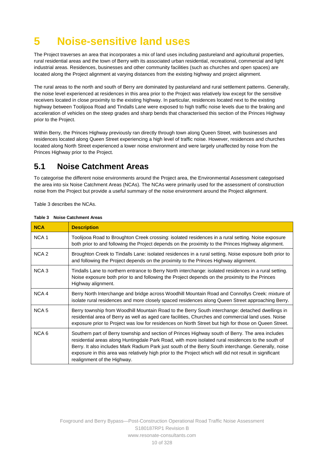# **5 Noise-sensitive land uses**

 industrial areas. Residences, businesses and other community facilities (such as churches and open spaces) are located along the Project alignment at varying distances from the existing highway and project alignment. The Project traverses an area that incorporates a mix of land uses including pastureland and agricultural properties, rural residential areas and the town of Berry with its associated urban residential, recreational, commercial and light

 the noise level experienced at residences in this area prior to the Project was relatively low except for the sensitive The rural areas to the north and south of Berry are dominated by pastureland and rural settlement patterns. Generally, receivers located in close proximity to the existing highway. In particular, residences located next to the existing highway between Toolijooa Road and Tindalls Lane were exposed to high traffic noise levels due to the braking and acceleration of vehicles on the steep grades and sharp bends that characterised this section of the Princes Highway prior to the Project.

Within Berry, the Princes Highway previously ran directly through town along Queen Street, with businesses and residences located along Queen Street experiencing a high level of traffic noise. However, residences and churches located along North Street experienced a lower noise environment and were largely unaffected by noise from the Princes Highway prior to the Project.

## **5.1 Noise Catchment Areas**

To categorise the different noise environments around the Project area, the Environmental Assessment categorised the area into six Noise Catchment Areas (NCAs). The NCAs were primarily used for the assessment of construction noise from the Project but provide a useful summary of the noise environment around the Project alignment.

[Table 3](#page-16-0) describes the NCAs.

| <b>NCA</b>       | <b>Description</b>                                                                                                                                                                                                                                                                                                                                                                                                                                       |
|------------------|----------------------------------------------------------------------------------------------------------------------------------------------------------------------------------------------------------------------------------------------------------------------------------------------------------------------------------------------------------------------------------------------------------------------------------------------------------|
| NCA <sub>1</sub> | Toolijooa Road to Broughton Creek crossing: isolated residences in a rural setting. Noise exposure<br>both prior to and following the Project depends on the proximity to the Princes Highway alignment.                                                                                                                                                                                                                                                 |
| NCA <sub>2</sub> | Broughton Creek to Tindalls Lane: isolated residences in a rural setting. Noise exposure both prior to<br>and following the Project depends on the proximity to the Princes Highway alignment.                                                                                                                                                                                                                                                           |
| NCA <sub>3</sub> | Tindalls Lane to northern entrance to Berry North interchange: isolated residences in a rural setting.<br>Noise exposure both prior to and following the Project depends on the proximity to the Princes<br>Highway alignment.                                                                                                                                                                                                                           |
| NCA <sub>4</sub> | Berry North Interchange and bridge across Woodhill Mountain Road and Connollys Creek: mixture of<br>isolate rural residences and more closely spaced residences along Queen Street approaching Berry.                                                                                                                                                                                                                                                    |
| NCA <sub>5</sub> | Berry township from Woodhill Mountain Road to the Berry South interchange: detached dwellings in<br>residential area of Berry as well as aged care facilities, Churches and commercial land uses. Noise<br>exposure prior to Project was low for residences on North Street but high for those on Queen Street.                                                                                                                                          |
| NCA <sub>6</sub> | Southern part of Berry township and section of Princes Highway south of Berry. The area includes<br>residential areas along Huntingdale Park Road, with more isolated rural residences to the south of<br>Berry. It also includes Mark Radium Park just south of the Berry South interchange. Generally, noise<br>exposure in this area was relatively high prior to the Project which will did not result in significant<br>realignment of the Highway. |

<span id="page-16-0"></span>**Table 3 Noise Catchment Areas** 

 10 of 328 Foxground and Berry Bypass—Post-Construction Operational Road Traffic Noise Assessment S180187RP1 Revision B www.resonate-consultants.com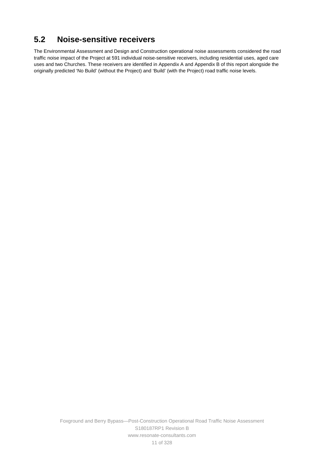## **5.2 Noise-sensitive receivers**

The Environmental Assessment and Design and Construction operational noise assessments considered the road traffic noise impact of the Project at 591 individual noise-sensitive receivers, including residential uses, aged care uses and two Churches. These receivers are identified in Appendix A and Appendix B of this report alongside the originally predicted 'No Build' (without the Project) and 'Build' (with the Project) road traffic noise levels.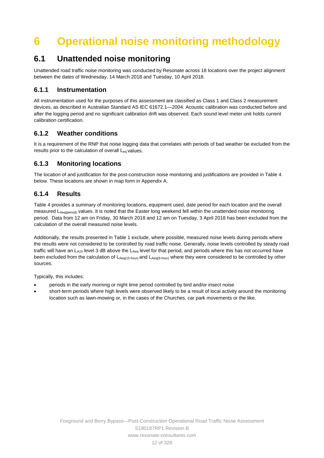# <span id="page-18-0"></span>**6 Operational noise monitoring methodology**

### **6.1 Unattended noise monitoring**

Unattended road traffic noise monitoring was conducted by Resonate across 18 locations over the project alignment between the dates of Wednesday, 14 March 2018 and Tuesday, 10 April 2018.

#### **6.1.1 Instrumentation**

 after the logging period and no significant calibration drift was observed. Each sound level meter unit holds current All instrumentation used for the purposes of this assessment are classified as Class 1 and Class 2 measurement devices, as described in Australian Standard AS IEC 61672.1—2004. Acoustic calibration was conducted before and calibration certification.

#### **6.1.2 Weather conditions**

 It is a requirement of the RNP that noise logging data that correlates with periods of bad weather be excluded from the results prior to the calculation of overall L<sub>eq</sub> values.

#### **6.1.3 Monitoring locations**

The location of and justification for the post-construction noise monitoring and justifications are provided in [Table 4](#page-19-0)  below. These locations are shown in map form in Appendix A.

#### **6.1.4 Results**

[Table 4](#page-19-0) provides a summary of monitoring locations, equipment used, date period for each location and the overall measured LAeq(period) values. It is noted that the Easter long weekend fell within the unattended noise monitoring period. Data from 12 am on Friday, 30 March 2018 and 12 am on Tuesday, 3 April 2018 has been excluded from the calculation of the overall measured noise levels.

been excluded from the calculation of  $L_{Aeq(15\text{-}hour)}$  and  $L_{Aeq(9\text{-}hour)}$  where they were considered to be controlled by other Additionally, the results presented in [Table 1](#page-11-0) exclude, where possible, measured noise levels during periods where the results were not considered to be controlled by road traffic noise. Generally, noise levels controlled by steady road traffic will have an  $L_{A10}$  level 3 dB above the  $L_{Aeq}$  level for that period, and periods where this has not occurred have sources.

Typically, this includes:

- periods in the early morning or night time period controlled by bird and/or insect noise
- short-term periods where high levels were observed likely to be a result of local activity around the monitoring location such as lawn-mowing or, in the cases of the Churches, car park movements or the like.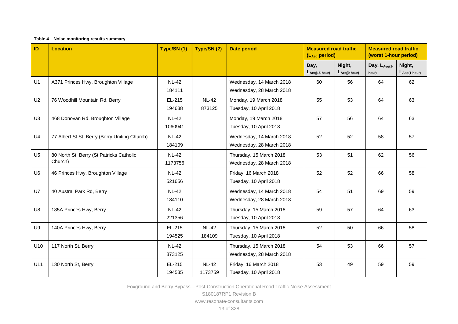#### **Table 4 Noise monitoring results summary**

<span id="page-19-0"></span>

| ID             | <b>Location</b>                                     | Type/SN (1)             | Type/SN (2)             | <b>Date period</b><br><b>Measured road traffic</b><br>(LAeg period) |                       |                        |                       | <b>Measured road traffic</b><br>(worst 1-hour period) |
|----------------|-----------------------------------------------------|-------------------------|-------------------------|---------------------------------------------------------------------|-----------------------|------------------------|-----------------------|-------------------------------------------------------|
|                |                                                     |                         |                         |                                                                     | Day,<br>LAeg(15-hour) | Night,<br>LAeq(9-hour) | Day, LAeg(1-<br>hour) | Night,<br>$L_{Aeq(1-hour)}$                           |
| U1             | A371 Princes Hwy, Broughton Village                 | <b>NL-42</b><br>184111  |                         | Wednesday, 14 March 2018<br>Wednesday, 28 March 2018                | 60                    | 56                     | 64                    | 62                                                    |
| U <sub>2</sub> | 76 Woodhill Mountain Rd, Berry                      | EL-215<br>194638        | <b>NL-42</b><br>873125  | Monday, 19 March 2018<br>Tuesday, 10 April 2018                     | 55                    | 53                     | 64                    | 63                                                    |
| U <sub>3</sub> | 468 Donovan Rd, Broughton Village                   | <b>NL-42</b><br>1060941 |                         | Monday, 19 March 2018<br>Tuesday, 10 April 2018                     | 57                    | 56                     | 64                    | 63                                                    |
| U <sub>4</sub> | 77 Albert St St, Berry (Berry Uniting Church)       | <b>NL-42</b><br>184109  |                         | Wednesday, 14 March 2018<br>Wednesday, 28 March 2018                | 52                    | 52                     | 58                    | 57                                                    |
| U <sub>5</sub> | 80 North St, Berry (St Patricks Catholic<br>Church) | <b>NL-42</b><br>1173756 |                         | Thursday, 15 March 2018<br>Wednesday, 28 March 2018                 | 53                    | 51                     | 62                    | 56                                                    |
| U <sub>6</sub> | 46 Princes Hwy, Broughton Village                   | <b>NL-42</b><br>521656  |                         | Friday, 16 March 2018<br>Tuesday, 10 April 2018                     | 52                    | 52                     | 66                    | 58                                                    |
| U7             | 40 Austral Park Rd, Berry                           | <b>NL-42</b><br>184110  |                         | Wednesday, 14 March 2018<br>Wednesday, 28 March 2018                | 54                    | 51                     | 69                    | 59                                                    |
| U8             | 185A Princes Hwy, Berry                             | <b>NL-42</b><br>221356  |                         | Thursday, 15 March 2018<br>Tuesday, 10 April 2018                   | 59                    | 57                     | 64                    | 63                                                    |
| <b>U9</b>      | 140A Princes Hwy, Berry                             | EL-215<br>194525        | <b>NL-42</b><br>184109  | Thursday, 15 March 2018<br>Tuesday, 10 April 2018                   | 52                    | 50                     | 66                    | 58                                                    |
| U10            | 117 North St, Berry                                 | <b>NL-42</b><br>873125  |                         | Thursday, 15 March 2018<br>Wednesday, 28 March 2018                 | 54                    | 53                     | 66                    | 57                                                    |
| U11            | 130 North St, Berry                                 | EL-215<br>194535        | <b>NL-42</b><br>1173759 | Friday, 16 March 2018<br>Tuesday, 10 April 2018                     | 53                    | 49                     | 59                    | 59                                                    |

Foxground and Berry Bypass—Post-Construction Operational Road Traffic Noise Assessment

S180187RP1 Revision B www.resonate-consultants.com

13 of 328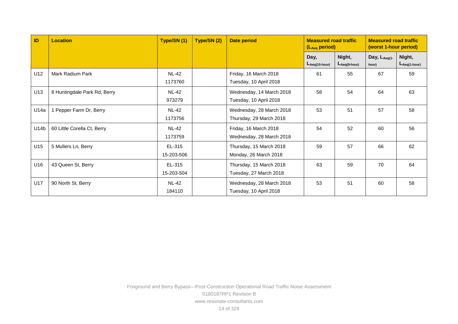| ID   | <b>Location</b>              | Type/SN (1)             | Type/SN (2) | <b>Date period</b><br><b>Measured road traffic</b><br><b>Measured road traffic</b><br>(worst 1-hour period)<br>(LAeq period) |                            |                             |                            |                             |
|------|------------------------------|-------------------------|-------------|------------------------------------------------------------------------------------------------------------------------------|----------------------------|-----------------------------|----------------------------|-----------------------------|
|      |                              |                         |             |                                                                                                                              | Day,<br>$L_{Aeq(15-hour)}$ | Night,<br>$L_{Aeq(9-hour)}$ | Day, $L_{Aeq(1)}$<br>hour) | Night,<br>$L_{Aeq(1-hour)}$ |
| U12  | Mark Radium Park             | <b>NL-42</b><br>1173760 |             | Friday, 16 March 2018<br>Tuesday, 10 April 2018                                                                              | 61                         | 55                          | 67                         | 59                          |
| U13  | 8 Huntingdale Park Rd, Berry | <b>NL-42</b><br>973279  |             | Wednesday, 14 March 2018<br>Tuesday, 10 April 2018                                                                           | 58                         | 54                          | 64                         | 63                          |
| U14a | Pepper Farm Dr, Berry        | <b>NL-42</b><br>1173756 |             | Wednesday, 28 March 2018<br>Thursday, 29 March 2018                                                                          | 53                         | 51                          | 57                         | 58                          |
| U14b | 60 Little Corella Ct, Berry  | <b>NL-42</b><br>1173759 |             | Friday, 16 March 2018<br>Wednesday, 28 March 2018                                                                            | 54                         | 52                          | 60                         | 56                          |
| U15  | 5 Mullers Ln, Berry          | EL-315<br>15-203-506    |             | Thursday, 15 March 2018<br>Monday, 26 March 2018                                                                             | 59                         | 57                          | 66                         | 62                          |
| U16  | 43 Queen St, Berry           | EL-315<br>15-203-504    |             | Thursday, 15 March 2018<br>Tuesday, 27 March 2018                                                                            | 63                         | 59                          | 70                         | 64                          |
| U17  | 90 North St, Berry           | <b>NL-42</b><br>184110  |             | Wednesday, 28 March 2018<br>Tuesday, 10 April 2018                                                                           | 53                         | 51                          | 60                         | 58                          |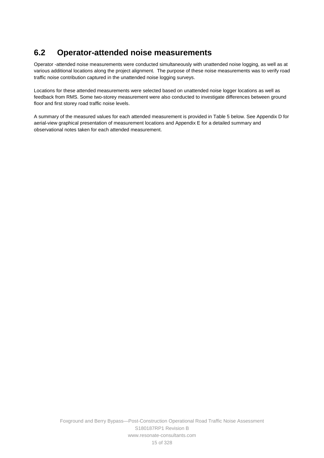## **6.2 Operator-attended noise measurements**

 various additional locations along the project alignment. The purpose of these noise measurements was to verify road Operator -attended noise measurements were conducted simultaneously with unattended noise logging, as well as at traffic noise contribution captured in the unattended noise logging surveys.

Locations for these attended measurements were selected based on unattended noise logger locations as well as feedback from RMS. Some two-storey measurement were also conducted to investigate differences between ground floor and first storey road traffic noise levels.

 A summary of the measured values for each attended measurement is provided in [Table 5](#page-22-0) below. See Appendix D for aerial-view graphical presentation of measurement locations and Appendix E for a detailed summary and observational notes taken for each attended measurement.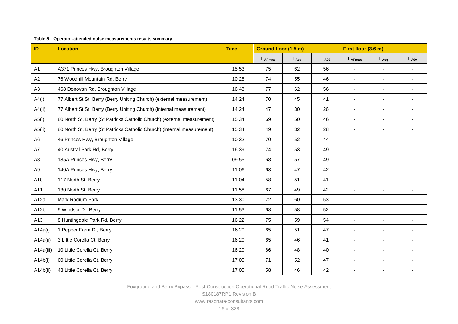#### **Table 5 Operator-attended noise measurements results summary**

<span id="page-22-0"></span>

| ID             | <b>Location</b>                                                         | <b>Time</b> | Ground floor (1.5 m) |           | First floor (3.6 m) |                          |                          |                          |
|----------------|-------------------------------------------------------------------------|-------------|----------------------|-----------|---------------------|--------------------------|--------------------------|--------------------------|
|                |                                                                         |             | $L_{AFmax}$          | $L_{Aeq}$ | $L_{A90}$           | $L_{AFmax}$              | $L_{Aeq}$                | $L_{A90}$                |
| A1             | A371 Princes Hwy, Broughton Village                                     | 15:53       | 75                   | 62        | 56                  | $\sim$                   | $\blacksquare$           | $\overline{\phantom{a}}$ |
| A2             | 76 Woodhill Mountain Rd, Berry                                          | 10:28       | 74                   | 55        | 46                  | $\sim$                   | $\blacksquare$           | $\blacksquare$           |
| A3             | 468 Donovan Rd, Broughton Village                                       | 16:43       | 77                   | 62        | 56                  | $\sim$                   | $\sim$                   |                          |
| A4(i)          | 77 Albert St St, Berry (Berry Uniting Church) (external measurement)    | 14:24       | 70                   | 45        | 41                  | $\blacksquare$           | $\overline{\phantom{a}}$ | $\blacksquare$           |
| A4(ii)         | 77 Albert St St, Berry (Berry Uniting Church) (internal measurement)    | 14:24       | 47                   | 30        | 26                  | $\blacksquare$           | $\sim$                   | $\blacksquare$           |
| A5(i)          | 80 North St, Berry (St Patricks Catholic Church) (external measurement) | 15:34       | 69                   | 50        | 46                  | $\blacksquare$           | $\blacksquare$           | $\blacksquare$           |
| A5(ii)         | 80 North St, Berry (St Patricks Catholic Church) (internal measurement) | 15:34       | 49                   | 32        | 28                  | $\blacksquare$           |                          |                          |
| A <sub>6</sub> | 46 Princes Hwy, Broughton Village                                       | 10:32       | 70                   | 52        | 44                  | $\blacksquare$           | $\blacksquare$           | $\blacksquare$           |
| A7             | 40 Austral Park Rd, Berry                                               | 16:39       | 74                   | 53        | 49                  | $\blacksquare$           | $\blacksquare$           |                          |
| A8             | 185A Princes Hwy, Berry                                                 | 09:55       | 68                   | 57        | 49                  | $\overline{\phantom{a}}$ | $\blacksquare$           | $\blacksquare$           |
| A9             | 140A Princes Hwy, Berry                                                 | 11:06       | 63                   | 47        | 42                  | $\overline{\phantom{a}}$ |                          |                          |
| A10            | 117 North St, Berry                                                     | 11:04       | 58                   | 51        | 41                  | $\sim$                   | $\blacksquare$           | $\blacksquare$           |
| A11            | 130 North St, Berry                                                     | 11:58       | 67                   | 49        | 42                  | $\blacksquare$           | $\blacksquare$           | $\blacksquare$           |
| A12a           | Mark Radium Park                                                        | 13:30       | 72                   | 60        | 53                  | $\blacksquare$           | $\blacksquare$           | $\blacksquare$           |
| A12b           | 9 Windsor Dr, Berry                                                     | 11:53       | 68                   | 58        | 52                  | $\overline{\phantom{a}}$ |                          |                          |
| A13            | 8 Huntingdale Park Rd, Berry                                            | 16:22       | 75                   | 59        | 54                  | $\blacksquare$           | $\blacksquare$           |                          |
| A14a(i)        | 1 Pepper Farm Dr, Berry                                                 | 16:20       | 65                   | 51        | 47                  | $\blacksquare$           | $\sim$                   | $\blacksquare$           |
| A14a(ii)       | 3 Little Corella Ct, Berry                                              | 16:20       | 65                   | 46        | 41                  | $\blacksquare$           | $\blacksquare$           |                          |
| A14a(iii)      | 10 Little Corella Ct, Berry                                             | 16:20       | 66                   | 48        | 40                  | $\blacksquare$           |                          | $\overline{\phantom{a}}$ |
| A14b(i)        | 60 Little Corella Ct, Berry                                             | 17:05       | 71                   | 52        | 47                  | $\blacksquare$           | $\overline{\phantom{a}}$ |                          |
| A14b(ii)       | 48 Little Corella Ct, Berry                                             | 17:05       | 58                   | 46        | 42                  |                          |                          |                          |

Foxground and Berry Bypass—Post-Construction Operational Road Traffic Noise Assessment

S180187RP1 Revision B www.resonate-consultants.com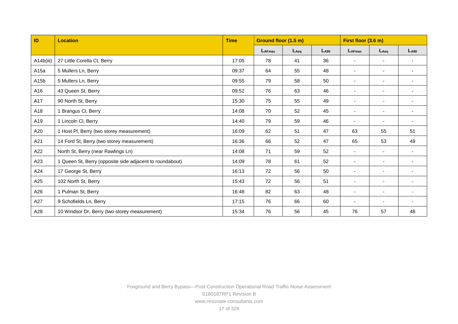| ID                | <b>Location</b>                                          | <b>Time</b> | Ground floor (1.5 m) |           |           | First floor (3.6 m)          |                          |                          |  |
|-------------------|----------------------------------------------------------|-------------|----------------------|-----------|-----------|------------------------------|--------------------------|--------------------------|--|
|                   |                                                          |             | $L_{AFmax}$          | $L_{Aeq}$ | $L_{A90}$ | $L_{AFmax}$                  | $L_{Aeq}$                | $L_{A90}$                |  |
| A14b(iii)         | 27 Little Corella Ct, Berry                              | 17:05       | 78                   | 41        | 36        | $\blacksquare$               | $\sim$                   | $\sim$                   |  |
| A15a              | 5 Mullers Ln, Berry                                      | 09:37       | 64                   | 55        | 48        | $\overline{\phantom{a}}$     | $\overline{\phantom{a}}$ |                          |  |
| A <sub>15</sub> b | 5 Mullers Ln, Berry                                      | 09:55       | 79                   | 58        | 50        | ٠                            | $\overline{\phantom{a}}$ |                          |  |
| A16               | 43 Queen St, Berry                                       | 09:52       | 76                   | 63        | 46        | $\blacksquare$               | $\overline{\phantom{a}}$ |                          |  |
| A17               | 90 North St, Berry                                       | 15:30       | 75                   | 55        | 49        | $\blacksquare$               | $\overline{\phantom{a}}$ |                          |  |
| A18               | 1 Brangus CI, Berry                                      | 14:08       | 70                   | 52        | 45        | $\qquad \qquad \blacksquare$ | $\overline{\phantom{a}}$ |                          |  |
| A19               | 1 Lincoln CI, Berry                                      |             | 79                   | 59        | 46        | ٠                            | $\blacksquare$           |                          |  |
| A20               | 1 Host PI, Berry (two storey measurement)                |             | 62                   | 51        | 47        | 63                           | 55                       | 51                       |  |
| A21               | 14 Ford St, Berry (two storey measurement)               | 16:36       | 66                   | 52        | 47        | 65                           | 53                       | 49                       |  |
| A22               | North St, Berry (near Rawlings Ln)                       | 14:08       | 71                   | 59        | 52        | $\sim$                       | $\overline{\phantom{a}}$ | $\overline{\phantom{a}}$ |  |
| A23               | 1 Queen St, Berry (opposite side adjacent to roundabout) | 14:09       | 78                   | 61        | 52        | $\blacksquare$               | $\overline{\phantom{a}}$ |                          |  |
| A24               | 17 George St, Berry                                      | 16:13       | 72                   | 56        | 50        | $\sim$                       | $\overline{\phantom{a}}$ |                          |  |
| A25               | 102 North St, Berry                                      | 15:43       | 72                   | 56        | 51        | ٠                            | $\overline{\phantom{a}}$ |                          |  |
| A26               | 1 Pulman St, Berry                                       | 16:48       | 82                   | 63        | 48        | $\blacksquare$               | $\blacksquare$           |                          |  |
| A27               | 9 Schofields Ln, Berry                                   |             | 76                   | 66        | 60        | ٠                            | $\blacksquare$           |                          |  |
| A28               | 10 Windsor Dr, Berry (two storey measurement)            | 15:34       | 76                   | 56        | 45        | 76                           | 57                       | 48                       |  |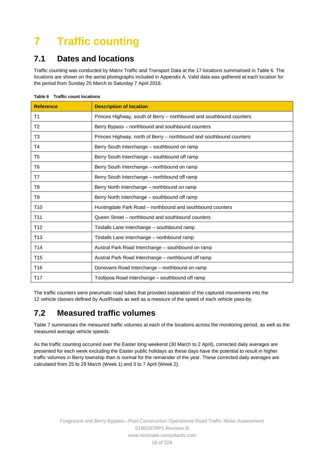# **7 Traffic counting**

## **7.1 Dates and locations**

Traffic counting was conducted by Matrix Traffic and Transport Data at the 17 locations summarised in [Table 6.](#page-24-0) The locations are shown on the aerial photographs included in Appendix A. Valid data was gathered at each location for the period from Sunday 25 March to Saturday 7 April 2018.

| <b>Reference</b> | <b>Description of location</b>                                       |
|------------------|----------------------------------------------------------------------|
| T1               | Princes Highway, south of Berry - northbound and southbound counters |
| T <sub>2</sub>   | Berry Bypass - northbound and southbound counters                    |
| T3               | Princes Highway, north of Berry - northbound and southbound counters |
| T4               | Berry South Interchange - southbound on ramp                         |
| T <sub>5</sub>   | Berry South Interchange - southbound off ramp                        |
| T6               | Berry South Interchange - northbound on ramp                         |
| T7               | Berry South Interchange - northbound off ramp                        |
| T <sub>8</sub>   | Berry North Interchange - northbound on ramp                         |
| T <sub>9</sub>   | Berry North Interchange - southbound off ramp                        |
| T <sub>10</sub>  | Huntingdale Park Road - northbound and southbound counters           |
| T <sub>11</sub>  | Queen Street – northbound and southbound counters                    |
| T <sub>12</sub>  | Tindalls Lane Interchange - southbound ramp                          |
| T <sub>13</sub>  | Tindalls Lane Interchange - northbound ramp                          |
| T <sub>14</sub>  | Austral Park Road Interchange – southbound on ramp                   |
| T <sub>15</sub>  | Austral Park Road Interchange - northbound off ramp                  |
| T <sub>16</sub>  | Donovans Road Interchange - northbound on ramp                       |
| T <sub>17</sub>  | Toolijooa Road Interchange - southbound off ramp                     |

#### <span id="page-24-0"></span>**Table 6 Traffic count locations**

The traffic counters were pneumatic road tubes that provided separation of the captured movements into the 12 vehicle classes defined by AustRoads as well as a measure of the speed of each vehicle pass-by.

## **7.2 Measured traffic volumes**

[Table 7](#page-25-0) summarises the measured traffic volumes at each of the locations across the monitoring period, as well as the measured average vehicle speeds.

 presented for each week excluding the Easter public holidays as these days have the potential to result in higher As the traffic counting occurred over the Easter long weekend (30 March to 2 April), corrected daily averages are traffic volumes in Berry township than is normal for the remainder of the year. These corrected daily averages are calculated from 25 to 29 March (Week 1) and 3 to 7 April (Week 2).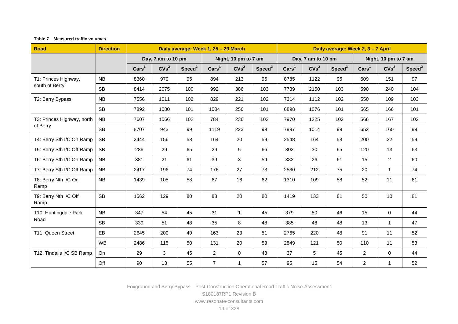#### **Table 7 Measured traffic volumes**

<span id="page-25-0"></span>

| <b>Road</b>                   | <b>Direction</b> |                 | Daily average: Week 1, 25 - 29 March |                    |                 |                      |                    | Daily average: Week 2, 3 - 7 April |                    |                    |                      |                  |                    |
|-------------------------------|------------------|-----------------|--------------------------------------|--------------------|-----------------|----------------------|--------------------|------------------------------------|--------------------|--------------------|----------------------|------------------|--------------------|
|                               |                  |                 | Day, 7 am to 10 pm                   |                    |                 | Night, 10 pm to 7 am |                    |                                    | Day, 7 am to 10 pm |                    | Night, 10 pm to 7 am |                  |                    |
|                               |                  | $\text{Cars}^1$ | CVs <sup>2</sup>                     | Speed <sup>3</sup> | $\text{Cars}^1$ | CVs <sup>2</sup>     | Speed <sup>3</sup> | $\text{Cars}^1$                    | CVs <sup>2</sup>   | Speed <sup>3</sup> | $\text{Cars}^1$      | CVs <sup>2</sup> | Speed <sup>3</sup> |
| T1: Princes Highway,          | NB               | 8360            | 979                                  | 95                 | 894             | 213                  | 96                 | 8785                               | 1122               | 96                 | 609                  | 151              | 97                 |
| south of Berry                | <b>SB</b>        | 8414            | 2075                                 | 100                | 992             | 386                  | 103                | 7739                               | 2150               | 103                | 590                  | 240              | 104                |
| T2: Berry Bypass              | <b>NB</b>        | 7556            | 1011                                 | 102                | 829             | 221                  | 102                | 7314                               | 1112               | 102                | 550                  | 109              | 103                |
|                               | <b>SB</b>        | 7892            | 1080                                 | 101                | 1004            | 256                  | 101                | 6898                               | 1076               | 101                | 565                  | 166              | 101                |
| T3: Princes Highway, north    | <b>NB</b>        | 7607            | 1066                                 | 102                | 784             | 236                  | 102                | 7970                               | 1225               | 102                | 566                  | 167              | 102                |
| of Berry                      | <b>SB</b>        | 8707            | 943                                  | 99                 | 1119            | 223                  | 99                 | 7997                               | 1014               | 99                 | 652                  | 160              | 99                 |
| T4: Berry Sth I/C On Ramp     | <b>SB</b>        | 2444            | 156                                  | 58                 | 164             | 20                   | 59                 | 2548                               | 164                | 58                 | 200                  | 22               | 59                 |
| T5: Berry Sth I/C Off Ramp    | <b>SB</b>        | 286             | 29                                   | 65                 | 29              | 5                    | 66                 | 302                                | 30                 | 65                 | 120                  | 13               | 63                 |
| T6: Berry Sth I/C On Ramp     | <b>NB</b>        | 381             | 21                                   | 61                 | 39              | 3                    | 59                 | 382                                | 26                 | 61                 | 15                   | $\overline{2}$   | 60                 |
| T7: Berry Sth I/C Off Ramp    | <b>NB</b>        | 2417            | 196                                  | 74                 | 176             | 27                   | 73                 | 2530                               | 212                | 75                 | 20                   | $\mathbf{1}$     | 74                 |
| T8: Berry Nth I/C On<br>Ramp  | NB               | 1439            | 105                                  | 58                 | 67              | 16                   | 62                 | 1310                               | 109                | 58                 | 52                   | 11               | 61                 |
| T9: Berry Nth I/C Off<br>Ramp | <b>SB</b>        | 1562            | 129                                  | 80                 | 88              | 20                   | 80                 | 1419                               | 133                | 81                 | 50                   | 10               | 81                 |
| T10: Huntingdale Park         | <b>NB</b>        | 347             | 54                                   | 45                 | 31              | $\mathbf{1}$         | 45                 | 379                                | 50                 | 46                 | 15                   | $\mathbf 0$      | 44                 |
| Road                          | <b>SB</b>        | 339             | 51                                   | 48                 | 35              | 8                    | 48                 | 385                                | 48                 | 48                 | 13                   | $\mathbf{1}$     | 47                 |
| T11: Queen Street             | EB.              | 2645            | 200                                  | 49                 | 163             | 23                   | 51                 | 2765                               | 220                | 48                 | 91                   | 11               | 52                 |
|                               | <b>WB</b>        | 2486            | 115                                  | 50                 | 131             | 20                   | 53                 | 2549                               | 121                | 50                 | 110                  | 11               | 53                 |
| T12: Tindalls I/C SB Ramp     | On               | 29              | 3                                    | 45                 | $\overline{2}$  | $\mathbf 0$          | 43                 | 37                                 | 5                  | 45                 | $\overline{2}$       | $\mathbf 0$      | 44                 |
|                               | Off              | 90              | 13                                   | 55                 | $\overline{7}$  | $\mathbf{1}$         | 57                 | 95                                 | 15                 | 54                 | $\overline{2}$       | $\mathbf{1}$     | 52                 |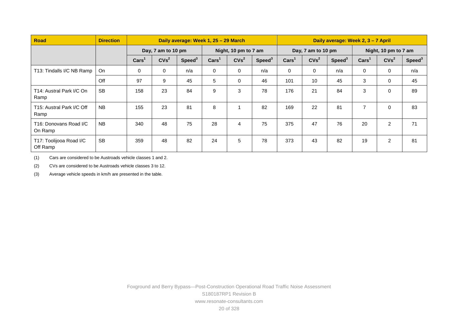| Road                                | <b>Direction</b> |                 | Daily average: Week 1, 25 - 29 March |                    |                 |                      |                    | Daily average: Week 2, 3 - 7 April |                    |                    |                 |                      |                    |
|-------------------------------------|------------------|-----------------|--------------------------------------|--------------------|-----------------|----------------------|--------------------|------------------------------------|--------------------|--------------------|-----------------|----------------------|--------------------|
|                                     |                  |                 | Day, 7 am to 10 pm                   |                    |                 | Night, 10 pm to 7 am |                    |                                    | Day, 7 am to 10 pm |                    |                 | Night, 10 pm to 7 am |                    |
|                                     |                  | $\text{Cars}^1$ | CVs <sup>2</sup>                     | Speed <sup>3</sup> | $\text{Cars}^1$ | CVs <sup>2</sup>     | Speed <sup>3</sup> | $\text{Cars}^1$                    | CVs <sup>2</sup>   | Speed <sup>3</sup> | $\text{Cars}^1$ | CVs <sup>2</sup>     | Speed <sup>3</sup> |
| T13: Tindalls I/C NB Ramp           | <b>On</b>        | 0               | 0                                    | n/a                | 0               | $\mathbf 0$          | n/a                | 0                                  | $\mathbf 0$        | n/a                | $\mathbf 0$     | 0                    | n/a                |
|                                     | Off              | 97              | 9                                    | 45                 | 5               | $\mathbf 0$          | 46                 | 101                                | 10                 | 45                 | 3               | 0                    | 45                 |
| T14: Austral Park I/C On<br>Ramp    | <b>SB</b>        | 158             | 23                                   | 84                 | 9               | 3                    | 78                 | 176                                | 21                 | 84                 | 3               | 0                    | 89                 |
| T15: Austral Park I/C Off<br>Ramp   | <b>NB</b>        | 155             | 23                                   | 81                 | 8               |                      | 82                 | 169                                | 22                 | 81                 | $\overline{7}$  | $\mathbf 0$          | 83                 |
| T16: Donovans Road I/C<br>On Ramp   | <b>NB</b>        | 340             | 48                                   | 75                 | 28              | 4                    | 75                 | 375                                | 47                 | 76                 | 20              | 2                    | 71                 |
| T17: Toolijooa Road I/C<br>Off Ramp | <b>SB</b>        | 359             | 48                                   | 82                 | 24              | 5                    | 78                 | 373                                | 43                 | 82                 | 19              | $\overline{c}$       | 81                 |

(1) Cars are considered to be Austroads vehicle classes 1 and 2.

(2) CVs are considered to be Austroads vehicle classes 3 to 12.

(3) Average vehicle speeds in km/h are presented in the table.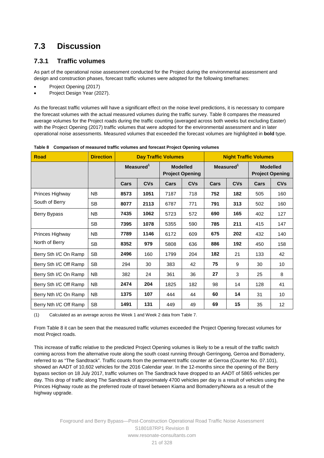# **7.3 Discussion**

#### **7.3.1 Traffic volumes**

As part of the operational noise assessment conducted for the Project during the environmental assessment and design and construction phases, forecast traffic volumes were adopted for the following timeframes:

- Project Opening (2017)
- Project Design Year (2027).

 the forecast volumes with the actual measured volumes during the traffic survey. [Table 8](#page-27-0) compares the measured average volumes for the Project roads during the traffic counting (averaged across both weeks but excluding Easter) operational noise assessments. Measured volumes that exceeded the forecast volumes are highlighted in **bold** type. As the forecast traffic volumes will have a significant effect on the noise level predictions, it is necessary to compare with the Project Opening (2017) traffic volumes that were adopted for the environmental assessment and in later

| <b>Road</b>            | <b>Direction</b> |              | <b>Day Traffic Volumes</b> |      |                                           | <b>Night Traffic Volumes</b> |            |                                           |                 |  |
|------------------------|------------------|--------------|----------------------------|------|-------------------------------------------|------------------------------|------------|-------------------------------------------|-----------------|--|
|                        |                  | Measured $1$ |                            |      | <b>Modelled</b><br><b>Project Opening</b> | Measured $1$                 |            | <b>Modelled</b><br><b>Project Opening</b> |                 |  |
|                        |                  | Cars         | <b>CVs</b>                 | Cars | <b>CVs</b>                                | Cars                         | <b>CVs</b> | Cars                                      | <b>CVs</b>      |  |
| Princes Highway        | NB.              | 8573         | 1051                       | 7187 | 718                                       | 752                          | 182        | 505                                       | 160             |  |
| South of Berry         | SB.              | 8077         | 2113                       | 6787 | 771                                       | 791                          | 313        | 502                                       | 160             |  |
| Berry Bypass           | NB.              | 7435         | 1062                       | 5723 | 572                                       | 690                          | 165        | 402                                       | 127             |  |
|                        | SB.              | 7395         | 1078                       | 5355 | 590                                       | 785                          | 211        | 415                                       | 147             |  |
| Princes Highway        | NB.              | 7789         | 1146                       | 6172 | 609                                       | 675                          | 202        | 432                                       | 140             |  |
| North of Berry         | <b>SB</b>        | 8352         | 979                        | 5808 | 636                                       | 886                          | 192        | 450                                       | 158             |  |
| Berry Sth I/C On Ramp  | <b>SB</b>        | 2496         | 160                        | 1799 | 204                                       | 182                          | 21         | 133                                       | 42              |  |
| Berry Sth I/C Off Ramp | SB               | 294          | 30                         | 383  | 42                                        | 75                           | 9          | 30                                        | 10              |  |
| Berry Sth I/C On Ramp  | <b>NB</b>        | 382          | 24                         | 361  | 36                                        | 27                           | 3          | 25                                        | 8               |  |
| Berry Sth I/C Off Ramp | <b>NB</b>        | 2474         | 204                        | 1825 | 182                                       | 98                           | 14         | 128                                       | 41              |  |
| Berry Nth I/C On Ramp  | <b>NB</b>        | 1375         | 107                        | 444  | 44                                        | 60                           | 14         | 31                                        | 10              |  |
| Berry Nth I/C Off Ramp | <b>SB</b>        | 1491         | 131                        | 449  | 49                                        | 69                           | 15         | 35                                        | 12 <sup>2</sup> |  |

<span id="page-27-0"></span>

| Table 8 Comparison of measured traffic volumes and forecast Project Opening volumes |  |
|-------------------------------------------------------------------------------------|--|
|                                                                                     |  |

(1) Calculated as an average across the Week 1 and Week 2 data from [Table 7.](#page-25-0)

 From [Table 8](#page-27-0) it can be seen that the measured traffic volumes exceeded the Project Opening forecast volumes for most Project roads.

 This increase of traffic relative to the predicted Project Opening volumes is likely to be a result of the traffic switch bypass section on 18 July 2017, traffic volumes on The Sandtrack have dropped to an AADT of 5865 vehicles per day. This drop of traffic along The Sandtrack of approximately 4700 vehicles per day is a result of vehicles using the highway upgrade. coming across from the alternative route along the south coast running through Gerringong, Gerroa and Bomaderry, referred to as "The Sandtrack". Traffic counts from the permanent traffic counter at Gerroa (Counter No. 07.101), showed an AADT of 10,602 vehicles for the 2016 Calendar year. In the 12-months since the opening of the Berry Princes Highway route as the preferred route of travel between Kiama and Bomaderry/Nowra as a result of the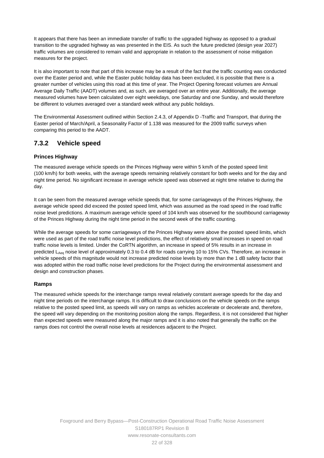transition to the upgraded highway as was presented in the EIS. As such the future predicted (design year 2027) It appears that there has been an immediate transfer of traffic to the upgraded highway as opposed to a gradual traffic volumes are considered to remain valid and appropriate in relation to the assessment of noise mitigation measures for the project.

It is also important to note that part of this increase may be a result of the fact that the traffic counting was conducted over the Easter period and, while the Easter public holiday data has been excluded, it is possible that there is a greater number of vehicles using this road at this time of year. The Project Opening forecast volumes are Annual Average Daily Traffic (AADT) volumes and, as such, are averaged over an entire year. Additionally, the average measured volumes have been calculated over eight weekdays, one Saturday and one Sunday, and would therefore be different to volumes averaged over a standard week without any public holidays.

 comparing this period to the AADT. The Environmental Assessment outlined within Section 2.4.3, of Appendix D -Traffic and Transport, that during the Easter period of March/April, a Seasonality Factor of 1.138 was measured for the 2009 traffic surveys when

#### **7.3.2 Vehicle speed**

#### **Princes Highway**

The measured average vehicle speeds on the Princes Highway were within 5 km/h of the posted speed limit (100 km/h) for both weeks, with the average speeds remaining relatively constant for both weeks and for the day and night time period. No significant increase in average vehicle speed was observed at night time relative to during the day.

 noise level predictions. A maximum average vehicle speed of 104 km/h was observed for the southbound carriageway It can be seen from the measured average vehicle speeds that, for some carriageways of the Princes Highway, the average vehicle speed did exceed the posted speed limit, which was assumed as the road speed in the road traffic of the Princes Highway during the night time period in the second week of the traffic counting.

While the average speeds for some carriageways of the Princes Highway were above the posted speed limits, which were used as part of the road traffic noise level predictions, the effect of relatively small increases in speed on road traffic noise levels is limited. Under the CoRTN algorithm, an increase in speed of 5% results in an increase in predicted L<sub>Aeg</sub> noise level of approximately 0.3 to 0.4 dB for roads carrying 10 to 15% CVs. Therefore, an increase in vehicle speeds of this magnitude would not increase predicted noise levels by more than the 1 dB safety factor that was adopted within the road traffic noise level predictions for the Project during the environmental assessment and design and construction phases.

#### **Ramps**

 night time periods on the interchange ramps. It is difficult to draw conclusions on the vehicle speeds on the ramps relative to the posted speed limit, as speeds will vary on ramps as vehicles accelerate or decelerate and, therefore, the speed will vary depending on the monitoring position along the ramps. Regardless, it is not considered that higher than expected speeds were measured along the major ramps and it is also noted that generally the traffic on the ramps does not control the overall noise levels at residences adjacent to the Project. The measured vehicle speeds for the interchange ramps reveal relatively constant average speeds for the day and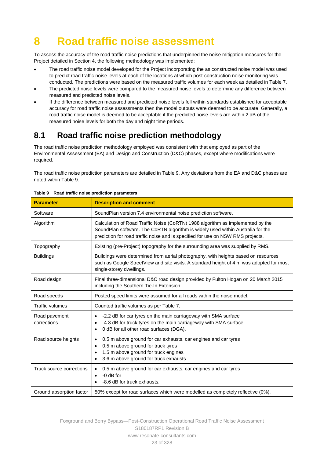# **8 Road traffic noise assessment**

To assess the accuracy of the road traffic noise predictions that underpinned the noise mitigation measures for the Project detailed in Section [4,](#page-13-0) the following methodology was implemented:

- conducted. The predictions were based on the measured traffic volumes for each week as detailed in [Table 7.](#page-25-0) The road traffic noise model developed for the Project incorporating the as constructed noise model was used to predict road traffic noise levels at each of the locations at which post-construction noise monitoring was
- The predicted noise levels were compared to the measured noise levels to determine any difference between measured and predicted noise levels.
- measured noise levels for both the day and night time periods. If the difference between measured and predicted noise levels fell within standards established for acceptable accuracy for road traffic noise assessments then the model outputs were deemed to be accurate. Generally, a road traffic noise model is deemed to be acceptable if the predicted noise levels are within 2 dB of the

# **8.1 Road traffic noise prediction methodology**

The road traffic noise prediction methodology employed was consistent with that employed as part of the Environmental Assessment (EA) and Design and Construction (D&C) phases, except where modifications were required.

The road traffic noise prediction parameters are detailed in [Table 9.](#page-29-0) Any deviations from the EA and D&C phases are noted within [Table 9.](#page-29-0)

| <b>Parameter</b>             | <b>Description and comment</b>                                                                                                                                                                                                                       |  |  |  |  |  |  |
|------------------------------|------------------------------------------------------------------------------------------------------------------------------------------------------------------------------------------------------------------------------------------------------|--|--|--|--|--|--|
| Software                     | SoundPlan version 7.4 environmental noise prediction software.                                                                                                                                                                                       |  |  |  |  |  |  |
| Algorithm                    | Calculation of Road Traffic Noise (CoRTN) 1988 algorithm as implemented by the<br>SoundPlan software. The CoRTN algorithm is widely used within Australia for the<br>prediction for road traffic noise and is specified for use on NSW RMS projects. |  |  |  |  |  |  |
| Topography                   | Existing (pre-Project) topography for the surrounding area was supplied by RMS.                                                                                                                                                                      |  |  |  |  |  |  |
| <b>Buildings</b>             | Buildings were determined from aerial photography, with heights based on resources<br>such as Google StreetView and site visits. A standard height of 4 m was adopted for most<br>single-storey dwellings.                                           |  |  |  |  |  |  |
| Road design                  | Final three-dimensional D&C road design provided by Fulton Hogan on 20 March 2015<br>including the Southern Tie-In Extension.                                                                                                                        |  |  |  |  |  |  |
| Road speeds                  | Posted speed limits were assumed for all roads within the noise model.                                                                                                                                                                               |  |  |  |  |  |  |
| <b>Traffic volumes</b>       | Counted traffic volumes as per Table 7.                                                                                                                                                                                                              |  |  |  |  |  |  |
| Road pavement<br>corrections | -2.2 dB for car tyres on the main carriageway with SMA surface<br>$\bullet$<br>-4.3 dB for truck tyres on the main carriageway with SMA surface<br>0 dB for all other road surfaces (DGA).<br>$\bullet$                                              |  |  |  |  |  |  |
| Road source heights          | 0.5 m above ground for car exhausts, car engines and car tyres<br>$\bullet$<br>0.5 m above ground for truck tyres<br>$\bullet$<br>1.5 m above ground for truck engines<br>3.6 m above ground for truck exhausts<br>$\bullet$                         |  |  |  |  |  |  |
| Truck source corrections     | 0.5 m above ground for car exhausts, car engines and car tyres<br>$\bullet$<br>$-0$ dB for<br>$\bullet$<br>-8.6 dB for truck exhausts.                                                                                                               |  |  |  |  |  |  |
| Ground absorption factor     | 50% except for road surfaces which were modelled as completely reflective (0%).                                                                                                                                                                      |  |  |  |  |  |  |

<span id="page-29-0"></span>

Foxground and Berry Bypass—Post-Construction Operational Road Traffic Noise Assessment S180187RP1 Revision B www.resonate-consultants.com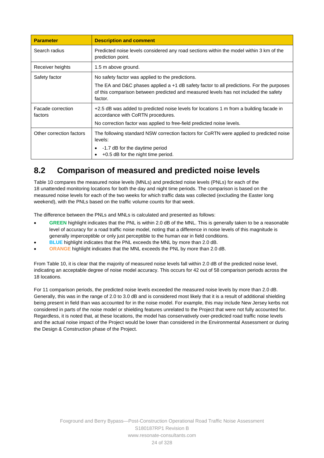| <b>Parameter</b>             | <b>Description and comment</b>                                                                                                                                                                                                                    |
|------------------------------|---------------------------------------------------------------------------------------------------------------------------------------------------------------------------------------------------------------------------------------------------|
| Search radius                | Predicted noise levels considered any road sections within the model within 3 km of the<br>prediction point.                                                                                                                                      |
| Receiver heights             | 1.5 m above ground.                                                                                                                                                                                                                               |
| Safety factor                | No safety factor was applied to the predictions.<br>The EA and D&C phases applied a $+1$ dB safety factor to all predictions. For the purposes<br>of this comparison between predicted and measured levels has not included the safety<br>factor. |
| Facade correction<br>factors | +2.5 dB was added to predicted noise levels for locations 1 m from a building facade in<br>accordance with CoRTN procedures.<br>No correction factor was applied to free-field predicted noise levels.                                            |
| Other correction factors     | The following standard NSW correction factors for CoRTN were applied to predicted noise<br>levels:<br>-1.7 dB for the daytime period<br>+0.5 dB for the night time period.                                                                        |

## **8.2 Comparison of measured and predicted noise levels**

 18 unattended monitoring locations for both the day and night time periods. The comparison is based on the weekend), with the PNLs based on the traffic volume counts for that week. [Table 10 c](#page-31-0)ompares the measured noise levels (MNLs) and predicted noise levels (PNLs) for each of the measured noise levels for each of the two weeks for which traffic data was collected (excluding the Easter long

The difference between the PNLs and MNLs is calculated and presented as follows:

- generally imperceptible or only just perceptible to the human ear in field conditions. **GREEN** highlight indicates that the PNL is within 2.0 dB of the MNL. This is generally taken to be a reasonable level of accuracy for a road traffic noise model, noting that a difference in noise levels of this magnitude is
- **BLUE** highlight indicates that the PNL exceeds the MNL by more than 2.0 dB.
- **ORANGE** highlight indicates that the MNL exceeds the PNL by more than 2.0 dB.

 From [Table 10,](#page-31-0) it is clear that the majority of measured noise levels fall within 2.0 dB of the predicted noise level, indicating an acceptable degree of noise model accuracy. This occurs for 42 out of 58 comparison periods across the 18 locations.

 Regardless, it is noted that, at these locations, the model has conservatively over-predicted road traffic noise levels For 11 comparison periods, the predicted noise levels exceeded the measured noise levels by more than 2.0 dB. Generally, this was in the range of 2.0 to 3.0 dB and is considered most likely that it is a result of additional shielding being present in field than was accounted for in the noise model. For example, this may include New Jersey kerbs not considered in parts of the noise model or shielding features unrelated to the Project that were not fully accounted for. and the actual noise impact of the Project would be lower than considered in the Environmental Assessment or during the Design & Construction phase of the Project.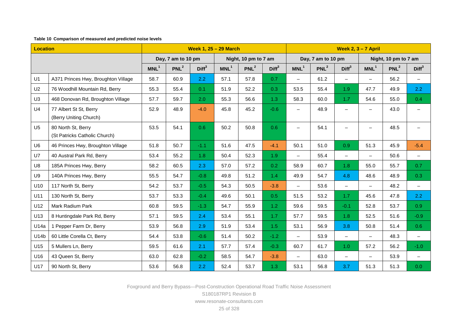#### **Table 10 Comparison of measured and predicted noise levels**

<span id="page-31-0"></span>

| <b>Location</b> |                                                     |                    |                  | <b>Week 1, 25 - 29 March</b> |                      |                  | Week $2, 3 - 7$ April |                          |                  |                          |                          |                  |                          |
|-----------------|-----------------------------------------------------|--------------------|------------------|------------------------------|----------------------|------------------|-----------------------|--------------------------|------------------|--------------------------|--------------------------|------------------|--------------------------|
|                 |                                                     | Day, 7 am to 10 pm |                  |                              | Night, 10 pm to 7 am |                  |                       | Day, 7 am to 10 pm       |                  |                          | Night, 10 pm to 7 am     |                  |                          |
|                 |                                                     | MNL <sup>1</sup>   | PNL <sup>2</sup> | Diff <sup>3</sup>            | MNL <sup>1</sup>     | PNL <sup>2</sup> | Diff <sup>3</sup>     | MNL <sup>1</sup>         | PNL <sup>2</sup> | Diff <sup>3</sup>        | MNL <sup>1</sup>         | PNL <sup>2</sup> | Diff <sup>3</sup>        |
| U1              | A371 Princes Hwy, Broughton Village                 | 58.7               | 60.9             | 2.2                          | 57.1                 | 57.8             | 0.7                   | $\overline{\phantom{0}}$ | 61.2             | $-$                      |                          | 56.2             | $\overline{\phantom{0}}$ |
| U <sub>2</sub>  | 76 Woodhill Mountain Rd, Berry                      | 55.3               | 55.4             | 0.1                          | 51.9                 | 52.2             | 0.3                   | 53.5                     | 55.4             | 1.9                      | 47.7                     | 49.9             | 2.2                      |
| U <sub>3</sub>  | 468 Donovan Rd, Broughton Village                   | 57.7               | 59.7             | 2.0 <sub>1</sub>             | 55.3                 | 56.6             | 1.3                   | 58.3                     | 60.0             | 1.7                      | 54.6                     | 55.0             | 0.4                      |
| U <sub>4</sub>  | 77 Albert St St, Berry<br>(Berry Uniting Church)    | 52.9               | 48.9             | $-4.0$                       | 45.8                 | 45.2             | $-0.6$                | $\overline{\phantom{0}}$ | 48.9             |                          | $\overline{\phantom{0}}$ | 43.0             |                          |
| U <sub>5</sub>  | 80 North St, Berry<br>(St Patricks Catholic Church) | 53.5               | 54.1             | 0.6 <sub>1</sub>             | 50.2                 | 50.8             | 0.6                   | $\overline{\phantom{0}}$ | 54.1             |                          |                          | 48.5             | $\equiv$                 |
| U <sub>6</sub>  | 46 Princes Hwy, Broughton Village                   | 51.8               | 50.7             | $-1.1$                       | 51.6                 | 47.5             | $-4.1$                | 50.1                     | 51.0             | 0.9                      | 51.3                     | 45.9             | $-5.4$                   |
| U7              | 40 Austral Park Rd, Berry                           | 53.4               | 55.2             | 1.8                          | 50.4                 | 52.3             | 1.9                   |                          | 55.4             | $\qquad \qquad -$        |                          | 50.6             | -                        |
| U8              | 185A Princes Hwy, Berry                             | 58.2               | 60.5             | 2.3                          | 57.0                 | 57.2             | 0.2 <sub>0</sub>      | 58.9                     | 60.7             | 1.8                      | 55.0                     | 55.7             | 0.7                      |
| U9              | 140A Princes Hwy, Berry                             | 55.5               | 54.7             | $-0.8$                       | 49.8                 | 51.2             | 1.4                   | 49.9                     | 54.7             | 4.8                      | 48.6                     | 48.9             | 0.3                      |
| U10             | 117 North St, Berry                                 | 54.2               | 53.7             | $-0.5$                       | 54.3                 | 50.5             | $-3.8$                | $\overline{\phantom{0}}$ | 53.6             | -                        |                          | 48.2             | $\qquad \qquad -$        |
| U11             | 130 North St, Berry                                 | 53.7               | 53.3             | $-0.4$                       | 49.6                 | 50.1             | 0.5                   | 51.5                     | 53.2             | 1.7                      | 45.6                     | 47.8             | 2.2                      |
| U12             | Mark Radium Park                                    | 60.8               | 59.5             | $-1.3$                       | 54.7                 | 55.9             | 1.2                   | 59.6                     | 59.5             | $-0.1$                   | 52.8                     | 53.7             | 0.9                      |
| U13             | 8 Huntingdale Park Rd, Berry                        | 57.1               | 59.5             | 2.4                          | 53.4                 | 55.1             | 1.7                   | 57.7                     | 59.5             | 1.8                      | 52.5                     | 51.6             | $-0.9$                   |
| U14a            | 1 Pepper Farm Dr, Berry                             | 53.9               | 56.8             | 2.9                          | 51.9                 | 53.4             | 1.5                   | 53.1                     | 56.9             | 3.8                      | 50.8                     | 51.4             | 0.6                      |
| U14b            | 60 Little Corella Ct, Berry                         | 54.4               | 53.8             | $-0.6$                       | 51.4                 | 50.2             | $-1.2$                | $\overline{\phantom{0}}$ | 53.9             | $\overline{\phantom{0}}$ | $\overline{\phantom{0}}$ | 48.3             | $-$                      |
| U15             | 5 Mullers Ln, Berry                                 | 59.5               | 61.6             | 2.1                          | 57.7                 | 57.4             | $-0.3$                | 60.7                     | 61.7             | 1.0 <sub>1</sub>         | 57.2                     | 56.2             | $-1.0$                   |
| U16             | 43 Queen St, Berry                                  | 63.0               | 62.8             | $-0.2$                       | 58.5                 | 54.7             | $-3.8$                | $-$                      | 63.0             |                          |                          | 53.9             |                          |
| U17             | 90 North St, Berry                                  | 53.6               | 56.8             | 2.2                          | 52.4                 | 53.7             | 1.3                   | 53.1                     | 56.8             | 3.7                      | 51.3                     | 51.3             | 0.0                      |

Foxground and Berry Bypass—Post-Construction Operational Road Traffic Noise Assessment

S180187RP1 Revision B

www.resonate-consultants.com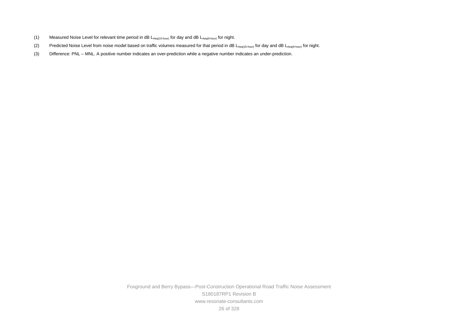- (1) Measured Noise Level for relevant time period in dB L<sub>Aeq(15-hour)</sub> for day and dB L<sub>Aeq(9-hour)</sub> for night.
- (2) Predicted Noise Level from noise model based on traffic volumes measured for that period in dB L<sub>Aeq(15-hour)</sub> for day and dB L<sub>Aeq(9-hour)</sub> for night.
- (3) Difference: PNL MNL. A positive number indicates an over-prediction while a negative number indicates an under-prediction.

 26 of 328 Foxground and Berry Bypass—Post-Construction Operational Road Traffic Noise Assessment S180187RP1 Revision B www.resonate-consultants.com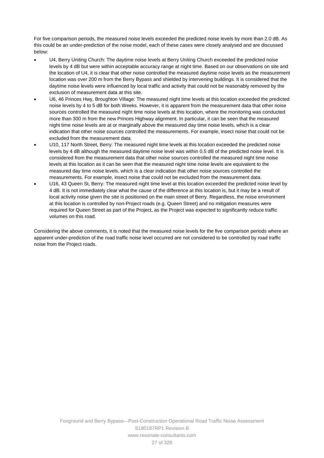For five comparison periods, the measured noise levels exceeded the predicted noise levels by more than 2.0 dB. As this could be an under-prediction of the noise model, each of these cases were closely analysed and are discussed below:

- the location of U4, it is clear that other noise controlled the measured daytime noise levels as the measurement exclusion of measurement data at this site. U4, Berry Uniting Church: The daytime noise levels at Berry Uniting Church exceeded the predicted noise levels by 4 dB but were within acceptable accuracy range at night time. Based on our observations on site and location was over 200 m from the Berry Bypass and shielded by intervening buildings. It is considered that the daytime noise levels were influenced by local traffic and activity that could not be reasonably removed by the
- night time noise levels are at or marginally above the measured day time noise levels, which is a clear indication that other noise sources controlled the measurements. For example, insect noise that could not be U6, 46 Princes Hwy, Broughton Village: The measured night time levels at this location exceeded the predicted noise levels by 4 to 5 dB for both Weeks. However, it is apparent from the measurement data that other noise sources controlled the measured night time noise levels at this location, where the monitoring was conducted more than 300 m from the new Princes Highway alignment. In particular, it can be seen that the measured excluded from the measurement data.
- considered from the measurement data that other noise sources controlled the measured night time noise levels at this location as it can be seen that the measured night time noise levels are equivalent to the U10, 117 North Street, Berry: The measured night time levels at this location exceeded the predicted noise levels by 4 dB although the measured daytime noise level was within 0.5 dB of the predicted noise level. It is measured day time noise levels, which is a clear indication that other noise sources controlled the measurements. For example, insect noise that could not be excluded from the measurement data.
- U16, 43 Queen St, Berry: The measured night time level at this location exceeded the predicted noise level by 4 dB. It is not immediately clear what the cause of the difference at this location is, but it may be a result of local activity noise given the site is positioned on the main street of Berry. Regardless, the noise environment at this location is controlled by non-Project roads (e.g. Queen Street) and no mitigation measures were required for Queen Street as part of the Project, as the Project was expected to significantly reduce traffic volumes on this road.

 apparent under-prediction of the road traffic noise level occurred are not considered to be controlled by road traffic Considering the above comments, it is noted that the measured noise levels for the five comparison periods where an noise from the Project roads.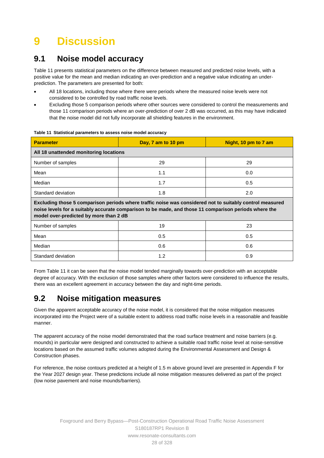# **9 Discussion**

## **9.1 Noise model accuracy**

[Table 11 p](#page-34-0)resents statistical parameters on the difference between measured and predicted noise levels, with a positive value for the mean and median indicating an over-prediction and a negative value indicating an underprediction. The parameters are presented for both:

- All 18 locations, including those where there were periods where the measured noise levels were not considered to be controlled by road traffic noise levels.
- Excluding those 5 comparison periods where other sources were considered to control the measurements and those 11 comparison periods where an over-prediction of over 2 dB was occurred, as this may have indicated that the noise model did not fully incorporate all shielding features in the environment.

| <b>Parameter</b>                       | Day, 7 am to 10 pm                                                                                                                                                                                                | Night, 10 pm to 7 am |  |  |  |  |  |  |  |  |  |
|----------------------------------------|-------------------------------------------------------------------------------------------------------------------------------------------------------------------------------------------------------------------|----------------------|--|--|--|--|--|--|--|--|--|
| All 18 unattended monitoring locations |                                                                                                                                                                                                                   |                      |  |  |  |  |  |  |  |  |  |
| Number of samples                      | 29                                                                                                                                                                                                                |                      |  |  |  |  |  |  |  |  |  |
| Mean                                   | 1.1                                                                                                                                                                                                               |                      |  |  |  |  |  |  |  |  |  |
| Median                                 | 1.7<br>0.5                                                                                                                                                                                                        |                      |  |  |  |  |  |  |  |  |  |
| Standard deviation                     | 1.8                                                                                                                                                                                                               | 2.0                  |  |  |  |  |  |  |  |  |  |
| model over-predicted by more than 2 dB | Excluding those 5 comparison periods where traffic noise was considered not to suitably control measured<br>noise levels for a suitably accurate comparison to be made, and those 11 comparison periods where the |                      |  |  |  |  |  |  |  |  |  |
| Number of samples                      | 19                                                                                                                                                                                                                | 23                   |  |  |  |  |  |  |  |  |  |
| Mean                                   | 0.5                                                                                                                                                                                                               | 0.5                  |  |  |  |  |  |  |  |  |  |
| Median                                 | 0.6                                                                                                                                                                                                               | 0.6                  |  |  |  |  |  |  |  |  |  |
| Standard deviation<br>1.2<br>0.9       |                                                                                                                                                                                                                   |                      |  |  |  |  |  |  |  |  |  |

#### <span id="page-34-0"></span> **Table 11 Statistical parameters to assess noise model accuracy**

 From [Table 11](#page-34-0) it can be seen that the noise model tended marginally towards over-prediction with an acceptable degree of accuracy. With the exclusion of those samples where other factors were considered to influence the results, there was an excellent agreement in accuracy between the day and night-time periods.

## **9.2 Noise mitigation measures**

Given the apparent acceptable accuracy of the noise model, it is considered that the noise mitigation measures incorporated into the Project were of a suitable extent to address road traffic noise levels in a reasonable and feasible manner.

 The apparent accuracy of the noise model demonstrated that the road surface treatment and noise barriers (e.g. mounds) in particular were designed and constructed to achieve a suitable road traffic noise level at noise-sensitive locations based on the assumed traffic volumes adopted during the Environmental Assessment and Design & Construction phases.

 the Year 2027 design year. These predictions include all noise mitigation measures delivered as part of the project For reference, the noise contours predicted at a height of 1.5 m above ground level are presented in Appendix F for (low noise pavement and noise mounds/barriers).